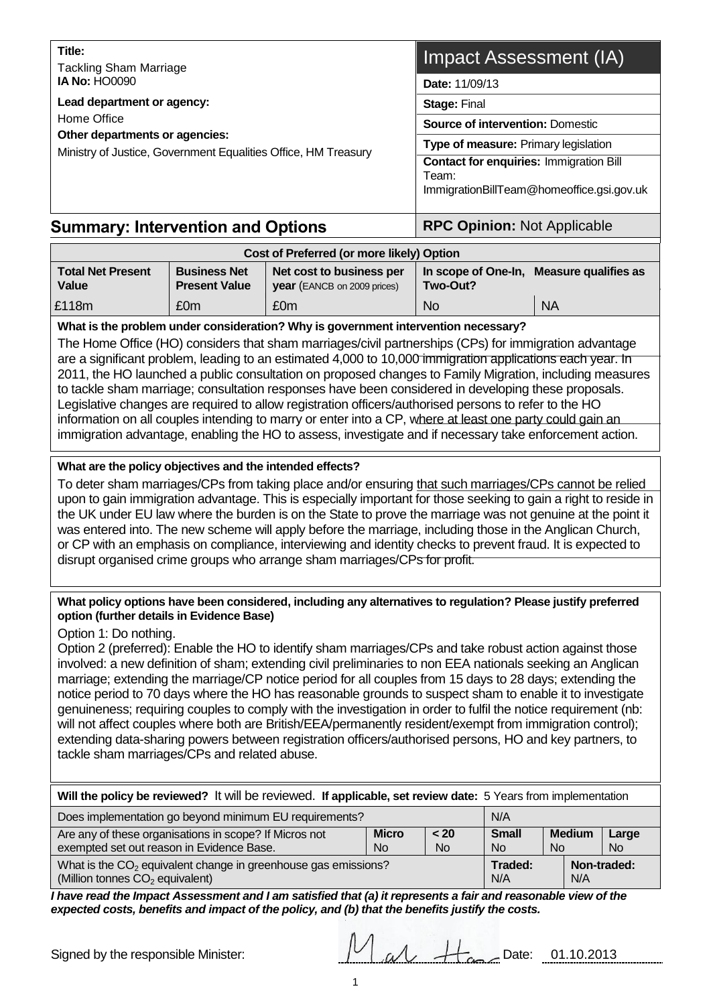| Title:<br><b>Tackling Sham Marriage</b>                                                                                                       | Impact Assessment (IA)                                                          |  |  |
|-----------------------------------------------------------------------------------------------------------------------------------------------|---------------------------------------------------------------------------------|--|--|
| <b>IA No: HO0090</b>                                                                                                                          | Date: 11/09/13                                                                  |  |  |
| Lead department or agency:<br>Home Office<br>Other departments or agencies:<br>Ministry of Justice, Government Equalities Office, HM Treasury | <b>Stage: Final</b>                                                             |  |  |
|                                                                                                                                               | <b>Source of intervention: Domestic</b><br>Type of measure: Primary legislation |  |  |
|                                                                                                                                               |                                                                                 |  |  |
|                                                                                                                                               |                                                                                 |  |  |

# **Summary: Intervention and Options <b>Access** | RPC Opinion: Not Applicable

| Cost of Preferred (or more likely) Option |                                             |                                                         |                                 |                      |  |
|-------------------------------------------|---------------------------------------------|---------------------------------------------------------|---------------------------------|----------------------|--|
| <b>Total Net Present</b><br><b>Value</b>  | <b>Business Net</b><br><b>Present Value</b> | Net cost to business per<br>year (EANCB on 2009 prices) | In scope of One-In,<br>Two-Out? | Measure qualifies as |  |
| £118m                                     | £0m                                         | £0m                                                     | <b>No</b>                       | <b>NA</b>            |  |

### **What is the problem under consideration? Why is government intervention necessary?**

The Home Office (HO) considers that sham marriages/civil partnerships (CPs) for immigration advantage are a significant problem, leading to an estimated 4,000 to 10,000 immigration applications each year. In 2011, the HO launched a public consultation on proposed changes to Family Migration, including measures to tackle sham marriage; consultation responses have been considered in developing these proposals. Legislative changes are required to allow registration officers/authorised persons to refer to the HO information on all couples intending to marry or enter into a CP, where at least one party could gain an immigration advantage, enabling the HO to assess, investigate and if necessary take enforcement action.

# **What are the policy objectives and the intended effects?**

To deter sham marriages/CPs from taking place and/or ensuring that such marriages/CPs cannot be relied upon to gain immigration advantage. This is especially important for those seeking to gain a right to reside in the UK under EU law where the burden is on the State to prove the marriage was not genuine at the point it was entered into. The new scheme will apply before the marriage, including those in the Anglican Church, or CP with an emphasis on compliance, interviewing and identity checks to prevent fraud. It is expected to disrupt organised crime groups who arrange sham marriages/CPs for profit.

#### **What policy options have been considered, including any alternatives to regulation? Please justify preferred option (further details in Evidence Base)**

Option 1: Do nothing.

Option 2 (preferred): Enable the HO to identify sham marriages/CPs and take robust action against those involved: a new definition of sham; extending civil preliminaries to non EEA nationals seeking an Anglican marriage; extending the marriage/CP notice period for all couples from 15 days to 28 days; extending the notice period to 70 days where the HO has reasonable grounds to suspect sham to enable it to investigate genuineness; requiring couples to comply with the investigation in order to fulfil the notice requirement (nb: will not affect couples where both are British/EEA/permanently resident/exempt from immigration control); extending data-sharing powers between registration officers/authorised persons, HO and key partners, to tackle sham marriages/CPs and related abuse.

| Will the policy be reviewed? It will be reviewed. If applicable, set review date: 5 Years from implementation                                                                                                  |  |  |  |     |              |  |
|----------------------------------------------------------------------------------------------------------------------------------------------------------------------------------------------------------------|--|--|--|-----|--------------|--|
| Does implementation go beyond minimum EU requirements?<br>N/A                                                                                                                                                  |  |  |  |     |              |  |
| Are any of these organisations in scope? If Micros not<br><b>Micro</b><br><b>Small</b><br><b>Medium</b><br>< 20<br>exempted set out reason in Evidence Base.<br><b>No</b><br><b>No</b><br>N <sub>o</sub><br>No |  |  |  |     | Large<br>No. |  |
| What is the $CO2$ equivalent change in greenhouse gas emissions?<br>(Million tonnes CO <sub>2</sub> equivalent)                                                                                                |  |  |  | N/A | Non-traded:  |  |

*I have read the Impact Assessment and I am satisfied that (a) it represents a fair and reasonable view of the expected costs, benefits and impact of the policy, and (b) that the benefits justify the costs.*

Signed by the responsible Minister:  $\begin{array}{c|c} \begin{array}{c} \end{array} & \begin{array}{c} \end{array} & \begin{array}{c} \end{array} & \begin{array}{c} \end{array} & \begin{array}{c} \end{array} & \begin{array}{c} \end{array} & \begin{array}{c} \end{array} & \begin{array}{c} \end{array} & \begin{array}{c} \end{array} & \begin{array}{c} \end{array} & \begin{array}{c} \end{array} & \begin{array}{c} \end{array} & \begin{array}{c} \end{array} & \begin{array}{c$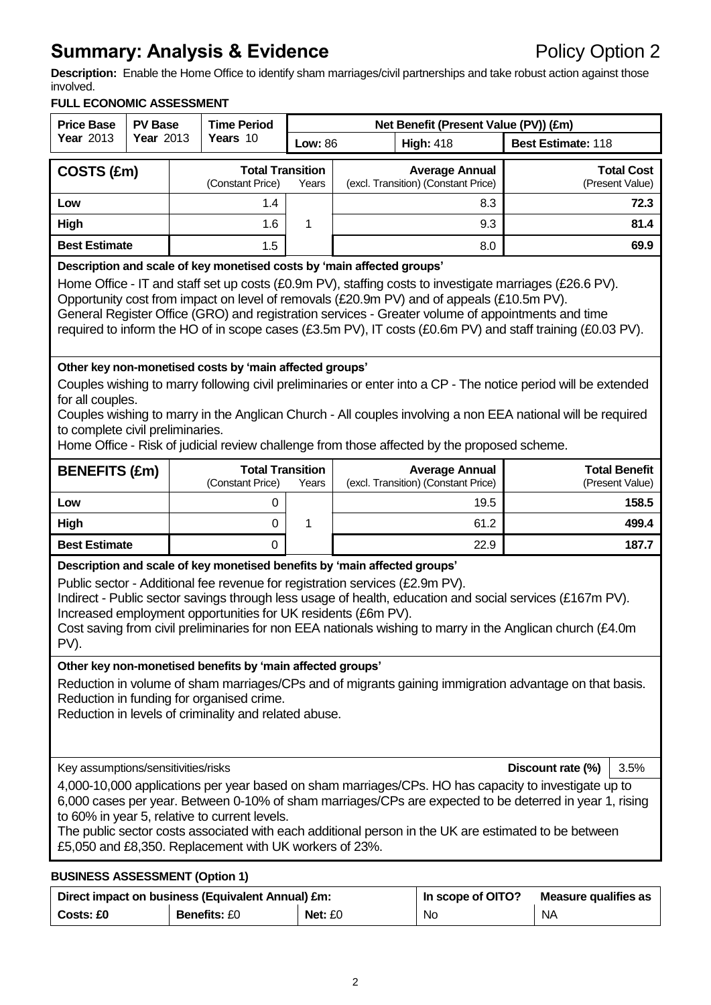# **Summary: Analysis & Evidence Policy Option 2**

**Description:** Enable the Home Office to identify sham marriages/civil partnerships and take robust action against those involved.

# **FULL ECONOMIC ASSESSMENT**

| <b>Price Base</b>                                                                                                                                                                                                                                                                                                                                                                                                                                                                                 | <b>PV Base</b>   |  | <b>Time Period</b>                          | Net Benefit (Present Value (PV)) (£m) |  |                                                              |                           |                                         |
|---------------------------------------------------------------------------------------------------------------------------------------------------------------------------------------------------------------------------------------------------------------------------------------------------------------------------------------------------------------------------------------------------------------------------------------------------------------------------------------------------|------------------|--|---------------------------------------------|---------------------------------------|--|--------------------------------------------------------------|---------------------------|-----------------------------------------|
| Year 2013                                                                                                                                                                                                                                                                                                                                                                                                                                                                                         | <b>Year 2013</b> |  | Years 10                                    | <b>Low: 86</b>                        |  | <b>High: 418</b>                                             | <b>Best Estimate: 118</b> |                                         |
| COSTS (£m)                                                                                                                                                                                                                                                                                                                                                                                                                                                                                        |                  |  | <b>Total Transition</b><br>(Constant Price) | Years                                 |  | <b>Average Annual</b><br>(excl. Transition) (Constant Price) |                           | <b>Total Cost</b><br>(Present Value)    |
| Low                                                                                                                                                                                                                                                                                                                                                                                                                                                                                               |                  |  | 1.4                                         |                                       |  | 8.3                                                          |                           | 72.3                                    |
| High                                                                                                                                                                                                                                                                                                                                                                                                                                                                                              |                  |  | 1.6                                         | 1                                     |  | 9.3                                                          |                           | 81.4                                    |
| <b>Best Estimate</b>                                                                                                                                                                                                                                                                                                                                                                                                                                                                              |                  |  | 1.5                                         |                                       |  | 8.0                                                          |                           | 69.9                                    |
| Description and scale of key monetised costs by 'main affected groups'<br>Home Office - IT and staff set up costs (£0.9m PV), staffing costs to investigate marriages (£26.6 PV).<br>Opportunity cost from impact on level of removals (£20.9m PV) and of appeals (£10.5m PV).<br>General Register Office (GRO) and registration services - Greater volume of appointments and time<br>required to inform the HO of in scope cases (£3.5m PV), IT costs (£0.6m PV) and staff training (£0.03 PV). |                  |  |                                             |                                       |  |                                                              |                           |                                         |
| Other key non-monetised costs by 'main affected groups'<br>Couples wishing to marry following civil preliminaries or enter into a CP - The notice period will be extended<br>for all couples.<br>Couples wishing to marry in the Anglican Church - All couples involving a non EEA national will be required<br>to complete civil preliminaries.<br>Home Office - Risk of judicial review challenge from those affected by the proposed scheme.                                                   |                  |  |                                             |                                       |  |                                                              |                           |                                         |
| <b>BENEFITS (£m)</b>                                                                                                                                                                                                                                                                                                                                                                                                                                                                              |                  |  | <b>Total Transition</b><br>(Constant Price) | Years                                 |  | <b>Average Annual</b><br>(excl. Transition) (Constant Price) |                           | <b>Total Benefit</b><br>(Present Value) |
| Low                                                                                                                                                                                                                                                                                                                                                                                                                                                                                               |                  |  | 0                                           |                                       |  | 19.5                                                         |                           | 158.5                                   |
| High                                                                                                                                                                                                                                                                                                                                                                                                                                                                                              |                  |  | 0                                           | 1                                     |  | 61.2                                                         |                           | 499.4                                   |
| <b>Best Estimate</b>                                                                                                                                                                                                                                                                                                                                                                                                                                                                              |                  |  | 0                                           |                                       |  | 22.9                                                         |                           | 187.7                                   |
| Description and scale of key monetised benefits by 'main affected groups'<br>Public sector - Additional fee revenue for registration services (£2.9m PV).<br>Indirect - Public sector savings through less usage of health, education and social services (£167m PV).<br>Increased employment opportunities for UK residents (£6m PV).<br>Cost saving from civil preliminaries for non EEA nationals wishing to marry in the Anglican church (£4.0m<br>PV).                                       |                  |  |                                             |                                       |  |                                                              |                           |                                         |
| Other key non-monetised benefits by 'main affected groups'<br>Reduction in volume of sham marriages/CPs and of migrants gaining immigration advantage on that basis.<br>Reduction in funding for organised crime.<br>Reduction in levels of criminality and related abuse.                                                                                                                                                                                                                        |                  |  |                                             |                                       |  |                                                              |                           |                                         |
| Key assumptions/sensitivities/risks                                                                                                                                                                                                                                                                                                                                                                                                                                                               |                  |  |                                             |                                       |  |                                                              | Discount rate (%)         | 3.5%                                    |
| 4,000-10,000 applications per year based on sham marriages/CPs. HO has capacity to investigate up to<br>6,000 cases per year. Between 0-10% of sham marriages/CPs are expected to be deterred in year 1, rising<br>to 60% in year 5, relative to current levels.<br>The public sector costs associated with each additional person in the UK are estimated to be between<br>£5,050 and £8,350. Replacement with UK workers of 23%.<br><b>BUSINESS ASSESSMENT (Option 1)</b>                       |                  |  |                                             |                                       |  |                                                              |                           |                                         |

| Direct impact on business (Equivalent Annual) £m: |                     | In scope of OITO? | Measure qualifies as |           |
|---------------------------------------------------|---------------------|-------------------|----------------------|-----------|
| <b>Costs: £0</b>                                  | <b>Benefits: £0</b> | Net: £0           | No                   | <b>NA</b> |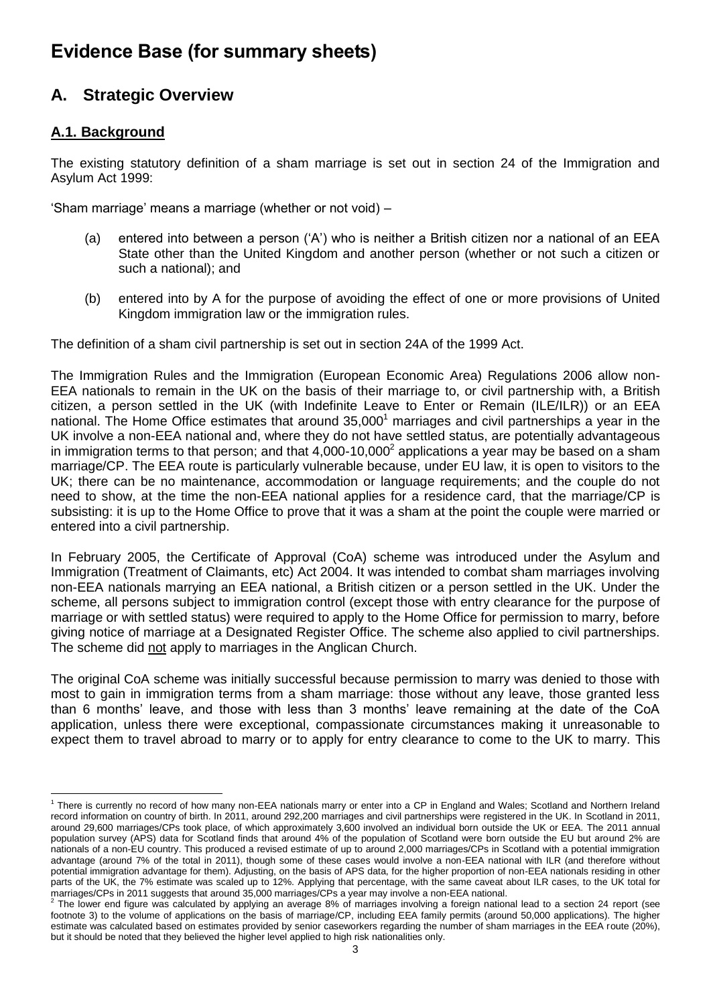# **Evidence Base (for summary sheets)**

# **A. Strategic Overview**

# **A.1. Background**

The existing statutory definition of a sham marriage is set out in section 24 of the Immigration and Asylum Act 1999:

"Sham marriage" means a marriage (whether or not void) –

- (a) entered into between a person ("A") who is neither a British citizen nor a national of an EEA State other than the United Kingdom and another person (whether or not such a citizen or such a national); and
- (b) entered into by A for the purpose of avoiding the effect of one or more provisions of United Kingdom immigration law or the immigration rules.

The definition of a sham civil partnership is set out in section 24A of the 1999 Act.

The Immigration Rules and the Immigration (European Economic Area) Regulations 2006 allow non-EEA nationals to remain in the UK on the basis of their marriage to, or civil partnership with, a British citizen, a person settled in the UK (with Indefinite Leave to Enter or Remain (ILE/ILR)) or an EEA national. The Home Office estimates that around  $35,000<sup>1</sup>$  marriages and civil partnerships a year in the UK involve a non-EEA national and, where they do not have settled status, are potentially advantageous in immigration terms to that person; and that 4,000-10,000<sup>2</sup> applications a year may be based on a sham marriage/CP. The EEA route is particularly vulnerable because, under EU law, it is open to visitors to the UK; there can be no maintenance, accommodation or language requirements; and the couple do not need to show, at the time the non-EEA national applies for a residence card, that the marriage/CP is subsisting: it is up to the Home Office to prove that it was a sham at the point the couple were married or entered into a civil partnership.

In February 2005, the Certificate of Approval (CoA) scheme was introduced under the Asylum and Immigration (Treatment of Claimants, etc) Act 2004. It was intended to combat sham marriages involving non-EEA nationals marrying an EEA national, a British citizen or a person settled in the UK. Under the scheme, all persons subject to immigration control (except those with entry clearance for the purpose of marriage or with settled status) were required to apply to the Home Office for permission to marry, before giving notice of marriage at a Designated Register Office. The scheme also applied to civil partnerships. The scheme did not apply to marriages in the Anglican Church.

The original CoA scheme was initially successful because permission to marry was denied to those with most to gain in immigration terms from a sham marriage: those without any leave, those granted less than 6 months" leave, and those with less than 3 months" leave remaining at the date of the CoA application, unless there were exceptional, compassionate circumstances making it unreasonable to expect them to travel abroad to marry or to apply for entry clearance to come to the UK to marry. This

 $\overline{a}$ <sup>1</sup> There is currently no record of how many non-EEA nationals marry or enter into a CP in England and Wales; Scotland and Northern Ireland record information on country of birth. In 2011, around 292,200 marriages and civil partnerships were registered in the UK. In Scotland in 2011, around 29,600 marriages/CPs took place, of which approximately 3,600 involved an individual born outside the UK or EEA. The 2011 annual population survey (APS) data for Scotland finds that around 4% of the population of Scotland were born outside the EU but around 2% are nationals of a non-EU country. This produced a revised estimate of up to around 2,000 marriages/CPs in Scotland with a potential immigration advantage (around 7% of the total in 2011), though some of these cases would involve a non-EEA national with ILR (and therefore without potential immigration advantage for them). Adjusting, on the basis of APS data, for the higher proportion of non-EEA nationals residing in other parts of the UK, the 7% estimate was scaled up to 12%. Applying that percentage, with the same caveat about ILR cases, to the UK total for marriages/CPs in 2011 suggests that around 35,000 marriages/CPs a year may involve a non-EEA national.<br><sup>2</sup> The lower and figure was calculated by applying an average <sup>99</sup>/ of marriages involving a fereign nation

The lower end figure was calculated by applying an average 8% of marriages involving a foreign national lead to a section 24 report (see footnote 3) to the volume of applications on the basis of marriage/CP, including EEA family permits (around 50,000 applications). The higher estimate was calculated based on estimates provided by senior caseworkers regarding the number of sham marriages in the EEA route (20%), but it should be noted that they believed the higher level applied to high risk nationalities only.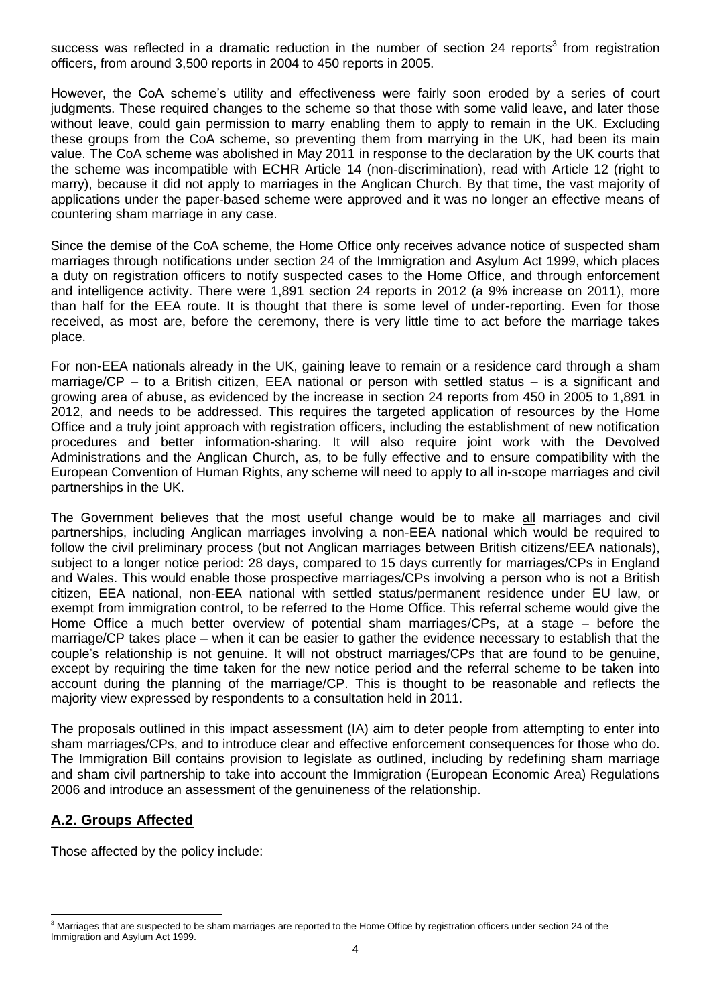success was reflected in a dramatic reduction in the number of section 24 reports<sup>3</sup> from registration officers, from around 3,500 reports in 2004 to 450 reports in 2005.

However, the CoA scheme"s utility and effectiveness were fairly soon eroded by a series of court judgments. These required changes to the scheme so that those with some valid leave, and later those without leave, could gain permission to marry enabling them to apply to remain in the UK. Excluding these groups from the CoA scheme, so preventing them from marrying in the UK, had been its main value. The CoA scheme was abolished in May 2011 in response to the declaration by the UK courts that the scheme was incompatible with ECHR Article 14 (non-discrimination), read with Article 12 (right to marry), because it did not apply to marriages in the Anglican Church. By that time, the vast majority of applications under the paper-based scheme were approved and it was no longer an effective means of countering sham marriage in any case.

Since the demise of the CoA scheme, the Home Office only receives advance notice of suspected sham marriages through notifications under section 24 of the Immigration and Asylum Act 1999, which places a duty on registration officers to notify suspected cases to the Home Office, and through enforcement and intelligence activity. There were 1,891 section 24 reports in 2012 (a 9% increase on 2011), more than half for the EEA route. It is thought that there is some level of under-reporting. Even for those received, as most are, before the ceremony, there is very little time to act before the marriage takes place.

For non-EEA nationals already in the UK, gaining leave to remain or a residence card through a sham marriage/CP – to a British citizen, EEA national or person with settled status – is a significant and growing area of abuse, as evidenced by the increase in section 24 reports from 450 in 2005 to 1,891 in 2012, and needs to be addressed. This requires the targeted application of resources by the Home Office and a truly joint approach with registration officers, including the establishment of new notification procedures and better information-sharing. It will also require joint work with the Devolved Administrations and the Anglican Church, as, to be fully effective and to ensure compatibility with the European Convention of Human Rights, any scheme will need to apply to all in-scope marriages and civil partnerships in the UK.

The Government believes that the most useful change would be to make all marriages and civil partnerships, including Anglican marriages involving a non-EEA national which would be required to follow the civil preliminary process (but not Anglican marriages between British citizens/EEA nationals), subject to a longer notice period: 28 days, compared to 15 days currently for marriages/CPs in England and Wales. This would enable those prospective marriages/CPs involving a person who is not a British citizen, EEA national, non-EEA national with settled status/permanent residence under EU law, or exempt from immigration control, to be referred to the Home Office. This referral scheme would give the Home Office a much better overview of potential sham marriages/CPs, at a stage – before the marriage/CP takes place – when it can be easier to gather the evidence necessary to establish that the couple"s relationship is not genuine. It will not obstruct marriages/CPs that are found to be genuine, except by requiring the time taken for the new notice period and the referral scheme to be taken into account during the planning of the marriage/CP. This is thought to be reasonable and reflects the majority view expressed by respondents to a consultation held in 2011.

The proposals outlined in this impact assessment (IA) aim to deter people from attempting to enter into sham marriages/CPs, and to introduce clear and effective enforcement consequences for those who do. The Immigration Bill contains provision to legislate as outlined, including by redefining sham marriage and sham civil partnership to take into account the Immigration (European Economic Area) Regulations 2006 and introduce an assessment of the genuineness of the relationship.

# **A.2. Groups Affected**

Those affected by the policy include:

<sup>&</sup>lt;sup>3</sup> Marriages that are suspected to be sham marriages are reported to the Home Office by registration officers under section 24 of the Immigration and Asylum Act 1999.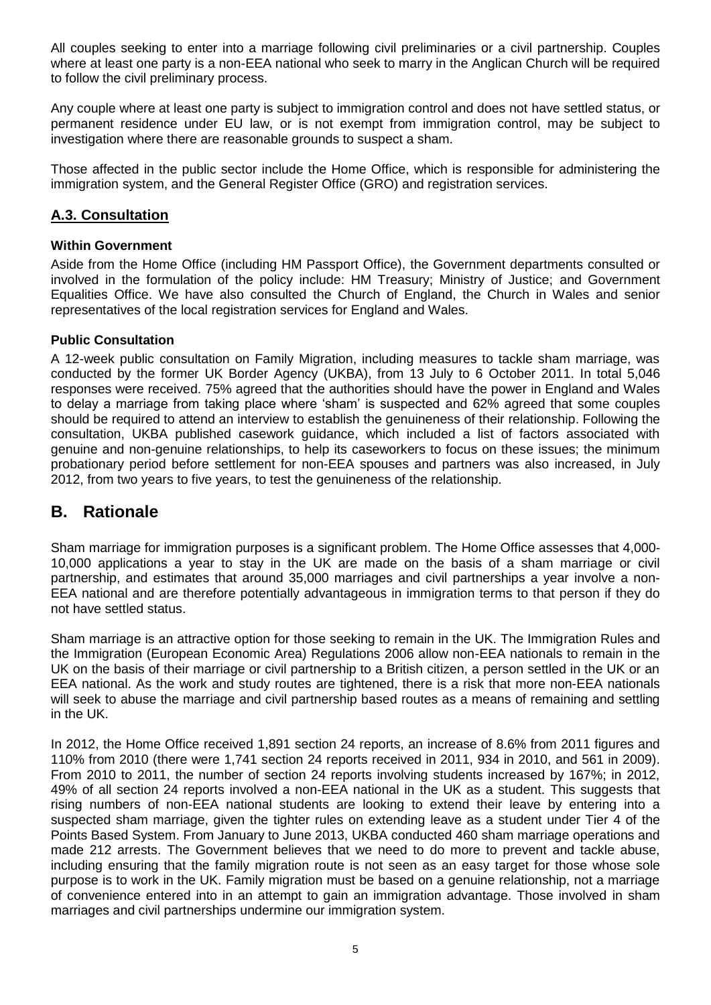All couples seeking to enter into a marriage following civil preliminaries or a civil partnership. Couples where at least one party is a non-EEA national who seek to marry in the Anglican Church will be required to follow the civil preliminary process.

Any couple where at least one party is subject to immigration control and does not have settled status, or permanent residence under EU law, or is not exempt from immigration control, may be subject to investigation where there are reasonable grounds to suspect a sham.

Those affected in the public sector include the Home Office, which is responsible for administering the immigration system, and the General Register Office (GRO) and registration services.

# **A.3. Consultation**

# **Within Government**

Aside from the Home Office (including HM Passport Office), the Government departments consulted or involved in the formulation of the policy include: HM Treasury; Ministry of Justice; and Government Equalities Office. We have also consulted the Church of England, the Church in Wales and senior representatives of the local registration services for England and Wales.

### **Public Consultation**

A 12-week public consultation on Family Migration, including measures to tackle sham marriage, was conducted by the former UK Border Agency (UKBA), from 13 July to 6 October 2011. In total 5,046 responses were received. 75% agreed that the authorities should have the power in England and Wales to delay a marriage from taking place where "sham" is suspected and 62% agreed that some couples should be required to attend an interview to establish the genuineness of their relationship. Following the consultation, UKBA published casework guidance, which included a list of factors associated with genuine and non-genuine relationships, to help its caseworkers to focus on these issues; the minimum probationary period before settlement for non-EEA spouses and partners was also increased, in July 2012, from two years to five years, to test the genuineness of the relationship.

# **B. Rationale**

Sham marriage for immigration purposes is a significant problem. The Home Office assesses that 4,000- 10,000 applications a year to stay in the UK are made on the basis of a sham marriage or civil partnership, and estimates that around 35,000 marriages and civil partnerships a year involve a non-EEA national and are therefore potentially advantageous in immigration terms to that person if they do not have settled status.

Sham marriage is an attractive option for those seeking to remain in the UK. The Immigration Rules and the Immigration (European Economic Area) Regulations 2006 allow non-EEA nationals to remain in the UK on the basis of their marriage or civil partnership to a British citizen, a person settled in the UK or an EEA national. As the work and study routes are tightened, there is a risk that more non-EEA nationals will seek to abuse the marriage and civil partnership based routes as a means of remaining and settling in the UK.

In 2012, the Home Office received 1,891 section 24 reports, an increase of 8.6% from 2011 figures and 110% from 2010 (there were 1,741 section 24 reports received in 2011, 934 in 2010, and 561 in 2009). From 2010 to 2011, the number of section 24 reports involving students increased by 167%; in 2012, 49% of all section 24 reports involved a non-EEA national in the UK as a student. This suggests that rising numbers of non-EEA national students are looking to extend their leave by entering into a suspected sham marriage, given the tighter rules on extending leave as a student under Tier 4 of the Points Based System. From January to June 2013, UKBA conducted 460 sham marriage operations and made 212 arrests. The Government believes that we need to do more to prevent and tackle abuse, including ensuring that the family migration route is not seen as an easy target for those whose sole purpose is to work in the UK. Family migration must be based on a genuine relationship, not a marriage of convenience entered into in an attempt to gain an immigration advantage. Those involved in sham marriages and civil partnerships undermine our immigration system.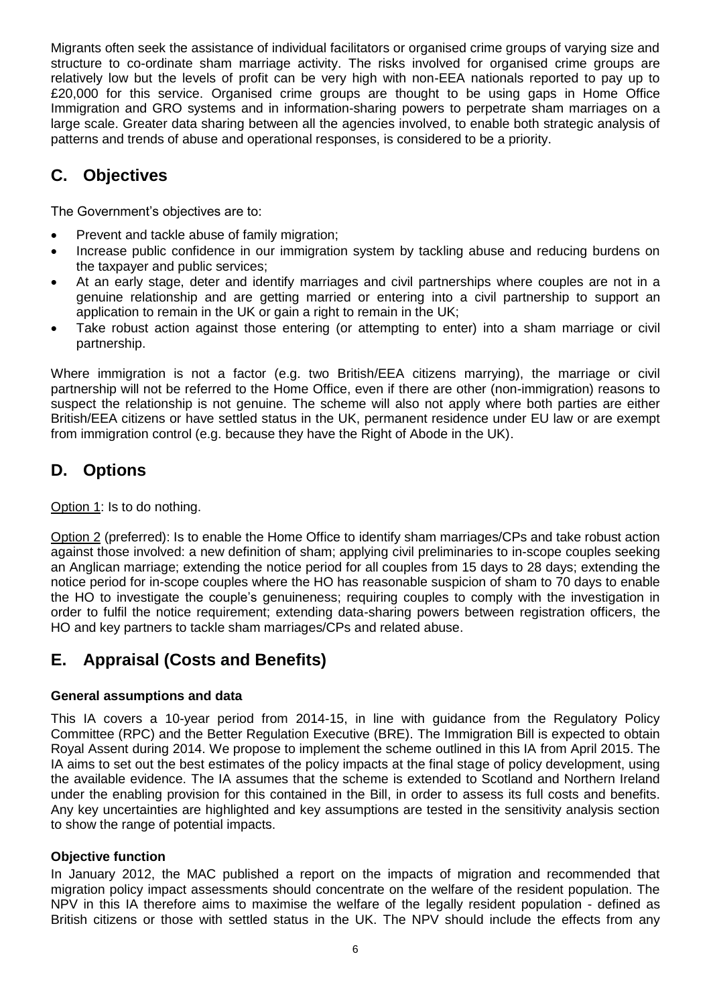Migrants often seek the assistance of individual facilitators or organised crime groups of varying size and structure to co-ordinate sham marriage activity. The risks involved for organised crime groups are relatively low but the levels of profit can be very high with non-EEA nationals reported to pay up to £20,000 for this service. Organised crime groups are thought to be using gaps in Home Office Immigration and GRO systems and in information-sharing powers to perpetrate sham marriages on a large scale. Greater data sharing between all the agencies involved, to enable both strategic analysis of patterns and trends of abuse and operational responses, is considered to be a priority.

# **C. Objectives**

The Government's objectives are to:

- Prevent and tackle abuse of family migration;
- Increase public confidence in our immigration system by tackling abuse and reducing burdens on the taxpayer and public services;
- At an early stage, deter and identify marriages and civil partnerships where couples are not in a genuine relationship and are getting married or entering into a civil partnership to support an application to remain in the UK or gain a right to remain in the UK;
- Take robust action against those entering (or attempting to enter) into a sham marriage or civil partnership.

Where immigration is not a factor (e.g. two British/EEA citizens marrying), the marriage or civil partnership will not be referred to the Home Office, even if there are other (non-immigration) reasons to suspect the relationship is not genuine. The scheme will also not apply where both parties are either British/EEA citizens or have settled status in the UK, permanent residence under EU law or are exempt from immigration control (e.g. because they have the Right of Abode in the UK).

# **D. Options**

Option 1: Is to do nothing.

Option 2 (preferred): Is to enable the Home Office to identify sham marriages/CPs and take robust action against those involved: a new definition of sham; applying civil preliminaries to in-scope couples seeking an Anglican marriage; extending the notice period for all couples from 15 days to 28 days; extending the notice period for in-scope couples where the HO has reasonable suspicion of sham to 70 days to enable the HO to investigate the couple"s genuineness; requiring couples to comply with the investigation in order to fulfil the notice requirement; extending data-sharing powers between registration officers, the HO and key partners to tackle sham marriages/CPs and related abuse.

# **E. Appraisal (Costs and Benefits)**

# **General assumptions and data**

This IA covers a 10-year period from 2014-15, in line with guidance from the Regulatory Policy Committee (RPC) and the Better Regulation Executive (BRE). The Immigration Bill is expected to obtain Royal Assent during 2014. We propose to implement the scheme outlined in this IA from April 2015. The IA aims to set out the best estimates of the policy impacts at the final stage of policy development, using the available evidence. The IA assumes that the scheme is extended to Scotland and Northern Ireland under the enabling provision for this contained in the Bill, in order to assess its full costs and benefits. Any key uncertainties are highlighted and key assumptions are tested in the sensitivity analysis section to show the range of potential impacts.

# **Objective function**

In January 2012, the MAC published a report on the impacts of migration and recommended that migration policy impact assessments should concentrate on the welfare of the resident population. The NPV in this IA therefore aims to maximise the welfare of the legally resident population - defined as British citizens or those with settled status in the UK. The NPV should include the effects from any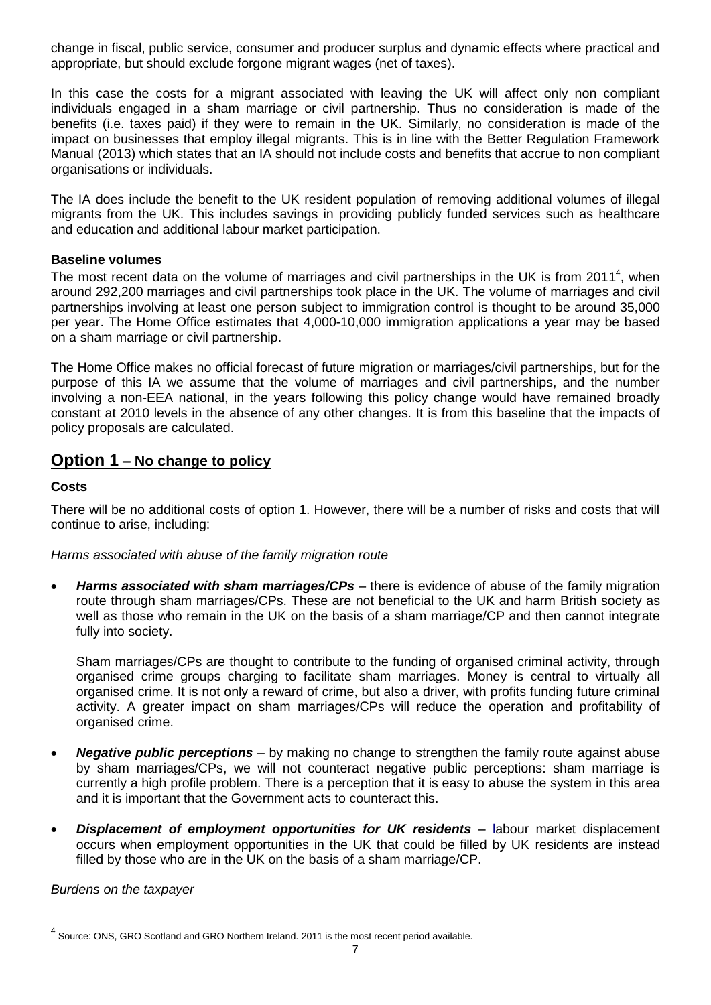change in fiscal, public service, consumer and producer surplus and dynamic effects where practical and appropriate, but should exclude forgone migrant wages (net of taxes).

In this case the costs for a migrant associated with leaving the UK will affect only non compliant individuals engaged in a sham marriage or civil partnership. Thus no consideration is made of the benefits (i.e. taxes paid) if they were to remain in the UK. Similarly, no consideration is made of the impact on businesses that employ illegal migrants. This is in line with the Better Regulation Framework Manual (2013) which states that an IA should not include costs and benefits that accrue to non compliant organisations or individuals.

The IA does include the benefit to the UK resident population of removing additional volumes of illegal migrants from the UK. This includes savings in providing publicly funded services such as healthcare and education and additional labour market participation.

# **Baseline volumes**

The most recent data on the volume of marriages and civil partnerships in the UK is from 2011<sup>4</sup>, when around 292,200 marriages and civil partnerships took place in the UK. The volume of marriages and civil partnerships involving at least one person subject to immigration control is thought to be around 35,000 per year. The Home Office estimates that 4,000-10,000 immigration applications a year may be based on a sham marriage or civil partnership.

The Home Office makes no official forecast of future migration or marriages/civil partnerships, but for the purpose of this IA we assume that the volume of marriages and civil partnerships, and the number involving a non-EEA national, in the years following this policy change would have remained broadly constant at 2010 levels in the absence of any other changes. It is from this baseline that the impacts of policy proposals are calculated.

# **Option 1 – No change to policy**

### **Costs**

There will be no additional costs of option 1. However, there will be a number of risks and costs that will continue to arise, including:

*Harms associated with abuse of the family migration route*

 *Harms associated with sham marriages/CPs* – there is evidence of abuse of the family migration route through sham marriages/CPs. These are not beneficial to the UK and harm British society as well as those who remain in the UK on the basis of a sham marriage/CP and then cannot integrate fully into society.

Sham marriages/CPs are thought to contribute to the funding of organised criminal activity, through organised crime groups charging to facilitate sham marriages. Money is central to virtually all organised crime. It is not only a reward of crime, but also a driver, with profits funding future criminal activity. A greater impact on sham marriages/CPs will reduce the operation and profitability of organised crime.

- **Negative public perceptions** by making no change to strengthen the family route against abuse by sham marriages/CPs, we will not counteract negative public perceptions: sham marriage is currently a high profile problem. There is a perception that it is easy to abuse the system in this area and it is important that the Government acts to counteract this.
- *Displacement of employment opportunities for UK residents labour market displacement* occurs when employment opportunities in the UK that could be filled by UK residents are instead filled by those who are in the UK on the basis of a sham marriage/CP.

*Burdens on the taxpayer*

l

<sup>&</sup>lt;sup>4</sup> Source: ONS, GRO Scotland and GRO Northern Ireland. 2011 is the most recent period available.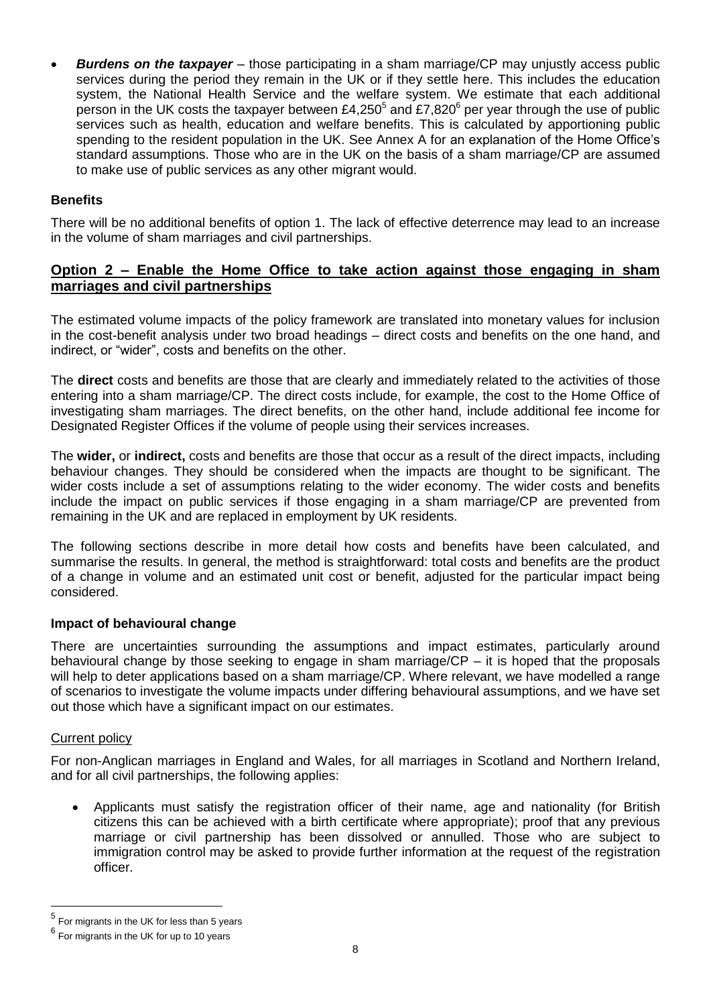*Burdens on the taxpayer* – those participating in a sham marriage/CP may unjustly access public services during the period they remain in the UK or if they settle here. This includes the education system, the National Health Service and the welfare system. We estimate that each additional person in the UK costs the taxpayer between £4,250<sup>5</sup> and £7,820<sup>6</sup> per year through the use of public services such as health, education and welfare benefits. This is calculated by apportioning public spending to the resident population in the UK. See Annex A for an explanation of the Home Office's standard assumptions. Those who are in the UK on the basis of a sham marriage/CP are assumed to make use of public services as any other migrant would.

# **Benefits**

There will be no additional benefits of option 1. The lack of effective deterrence may lead to an increase in the volume of sham marriages and civil partnerships.

# **Option 2 – Enable the Home Office to take action against those engaging in sham marriages and civil partnerships**

The estimated volume impacts of the policy framework are translated into monetary values for inclusion in the cost-benefit analysis under two broad headings – direct costs and benefits on the one hand, and indirect, or "wider", costs and benefits on the other.

The **direct** costs and benefits are those that are clearly and immediately related to the activities of those entering into a sham marriage/CP. The direct costs include, for example, the cost to the Home Office of investigating sham marriages. The direct benefits, on the other hand, include additional fee income for Designated Register Offices if the volume of people using their services increases.

The **wider,** or **indirect,** costs and benefits are those that occur as a result of the direct impacts, including behaviour changes. They should be considered when the impacts are thought to be significant. The wider costs include a set of assumptions relating to the wider economy. The wider costs and benefits include the impact on public services if those engaging in a sham marriage/CP are prevented from remaining in the UK and are replaced in employment by UK residents.

The following sections describe in more detail how costs and benefits have been calculated, and summarise the results. In general, the method is straightforward: total costs and benefits are the product of a change in volume and an estimated unit cost or benefit, adjusted for the particular impact being considered.

# **Impact of behavioural change**

There are uncertainties surrounding the assumptions and impact estimates, particularly around behavioural change by those seeking to engage in sham marriage/CP – it is hoped that the proposals will help to deter applications based on a sham marriage/CP. Where relevant, we have modelled a range of scenarios to investigate the volume impacts under differing behavioural assumptions, and we have set out those which have a significant impact on our estimates.

#### Current policy

l

For non-Anglican marriages in England and Wales, for all marriages in Scotland and Northern Ireland, and for all civil partnerships, the following applies:

 Applicants must satisfy the registration officer of their name, age and nationality (for British citizens this can be achieved with a birth certificate where appropriate); proof that any previous marriage or civil partnership has been dissolved or annulled. Those who are subject to immigration control may be asked to provide further information at the request of the registration officer.

<sup>5</sup> For migrants in the UK for less than 5 years

 $^6$  For migrants in the UK for up to 10 years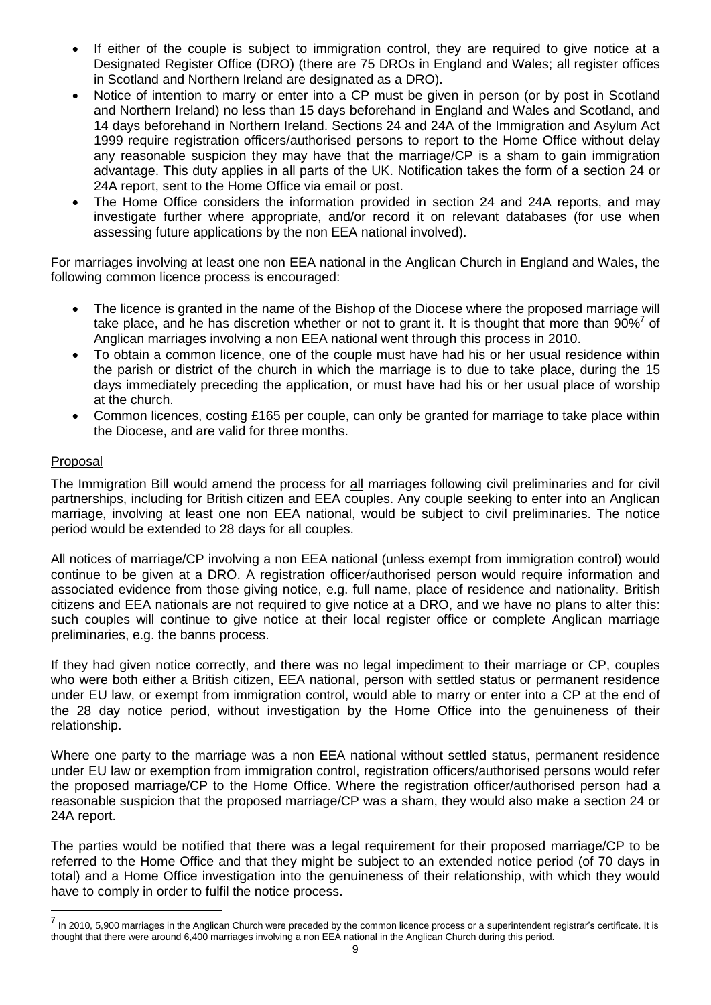- If either of the couple is subject to immigration control, they are required to give notice at a Designated Register Office (DRO) (there are 75 DROs in England and Wales; all register offices in Scotland and Northern Ireland are designated as a DRO).
- Notice of intention to marry or enter into a CP must be given in person (or by post in Scotland and Northern Ireland) no less than 15 days beforehand in England and Wales and Scotland, and 14 days beforehand in Northern Ireland. Sections 24 and 24A of the Immigration and Asylum Act 1999 require registration officers/authorised persons to report to the Home Office without delay any reasonable suspicion they may have that the marriage/CP is a sham to gain immigration advantage. This duty applies in all parts of the UK. Notification takes the form of a section 24 or 24A report, sent to the Home Office via email or post.
- The Home Office considers the information provided in section 24 and 24A reports, and may investigate further where appropriate, and/or record it on relevant databases (for use when assessing future applications by the non EEA national involved).

For marriages involving at least one non EEA national in the Anglican Church in England and Wales, the following common licence process is encouraged:

- The licence is granted in the name of the Bishop of the Diocese where the proposed marriage will take place, and he has discretion whether or not to grant it. It is thought that more than  $90\%$ <sup>7</sup> of Anglican marriages involving a non EEA national went through this process in 2010.
- To obtain a common licence, one of the couple must have had his or her usual residence within the parish or district of the church in which the marriage is to due to take place, during the 15 days immediately preceding the application, or must have had his or her usual place of worship at the church.
- Common licences, costing £165 per couple, can only be granted for marriage to take place within the Diocese, and are valid for three months.

# Proposal

l

The Immigration Bill would amend the process for all marriages following civil preliminaries and for civil partnerships, including for British citizen and EEA couples. Any couple seeking to enter into an Anglican marriage, involving at least one non EEA national, would be subject to civil preliminaries. The notice period would be extended to 28 days for all couples.

All notices of marriage/CP involving a non EEA national (unless exempt from immigration control) would continue to be given at a DRO. A registration officer/authorised person would require information and associated evidence from those giving notice, e.g. full name, place of residence and nationality. British citizens and EEA nationals are not required to give notice at a DRO, and we have no plans to alter this: such couples will continue to give notice at their local register office or complete Anglican marriage preliminaries, e.g. the banns process.

If they had given notice correctly, and there was no legal impediment to their marriage or CP, couples who were both either a British citizen, EEA national, person with settled status or permanent residence under EU law, or exempt from immigration control, would able to marry or enter into a CP at the end of the 28 day notice period, without investigation by the Home Office into the genuineness of their relationship.

Where one party to the marriage was a non EEA national without settled status, permanent residence under EU law or exemption from immigration control, registration officers/authorised persons would refer the proposed marriage/CP to the Home Office. Where the registration officer/authorised person had a reasonable suspicion that the proposed marriage/CP was a sham, they would also make a section 24 or 24A report.

The parties would be notified that there was a legal requirement for their proposed marriage/CP to be referred to the Home Office and that they might be subject to an extended notice period (of 70 days in total) and a Home Office investigation into the genuineness of their relationship, with which they would have to comply in order to fulfil the notice process.

<sup>&</sup>lt;sup>7</sup> In 2010, 5,900 marriages in the Anglican Church were preceded by the common licence process or a superintendent registrar's certificate. It is thought that there were around 6,400 marriages involving a non EEA national in the Anglican Church during this period.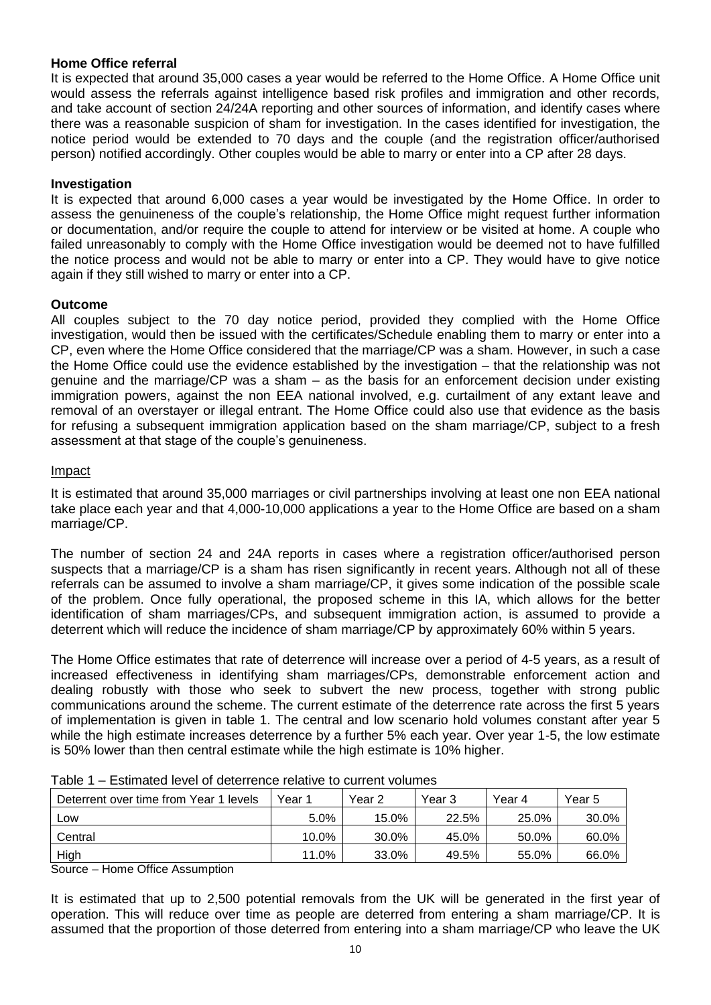# **Home Office referral**

It is expected that around 35,000 cases a year would be referred to the Home Office. A Home Office unit would assess the referrals against intelligence based risk profiles and immigration and other records, and take account of section 24/24A reporting and other sources of information, and identify cases where there was a reasonable suspicion of sham for investigation. In the cases identified for investigation, the notice period would be extended to 70 days and the couple (and the registration officer/authorised person) notified accordingly. Other couples would be able to marry or enter into a CP after 28 days.

# **Investigation**

It is expected that around 6,000 cases a year would be investigated by the Home Office. In order to assess the genuineness of the couple"s relationship, the Home Office might request further information or documentation, and/or require the couple to attend for interview or be visited at home. A couple who failed unreasonably to comply with the Home Office investigation would be deemed not to have fulfilled the notice process and would not be able to marry or enter into a CP. They would have to give notice again if they still wished to marry or enter into a CP.

# **Outcome**

All couples subject to the 70 day notice period, provided they complied with the Home Office investigation, would then be issued with the certificates/Schedule enabling them to marry or enter into a CP, even where the Home Office considered that the marriage/CP was a sham. However, in such a case the Home Office could use the evidence established by the investigation – that the relationship was not genuine and the marriage/CP was a sham – as the basis for an enforcement decision under existing immigration powers, against the non EEA national involved, e.g. curtailment of any extant leave and removal of an overstayer or illegal entrant. The Home Office could also use that evidence as the basis for refusing a subsequent immigration application based on the sham marriage/CP, subject to a fresh assessment at that stage of the couple"s genuineness.

# Impact

It is estimated that around 35,000 marriages or civil partnerships involving at least one non EEA national take place each year and that 4,000-10,000 applications a year to the Home Office are based on a sham marriage/CP.

The number of section 24 and 24A reports in cases where a registration officer/authorised person suspects that a marriage/CP is a sham has risen significantly in recent years. Although not all of these referrals can be assumed to involve a sham marriage/CP, it gives some indication of the possible scale of the problem. Once fully operational, the proposed scheme in this IA, which allows for the better identification of sham marriages/CPs, and subsequent immigration action, is assumed to provide a deterrent which will reduce the incidence of sham marriage/CP by approximately 60% within 5 years.

The Home Office estimates that rate of deterrence will increase over a period of 4-5 years, as a result of increased effectiveness in identifying sham marriages/CPs, demonstrable enforcement action and dealing robustly with those who seek to subvert the new process, together with strong public communications around the scheme. The current estimate of the deterrence rate across the first 5 years of implementation is given in table 1. The central and low scenario hold volumes constant after year 5 while the high estimate increases deterrence by a further 5% each year. Over year 1-5, the low estimate is 50% lower than then central estimate while the high estimate is 10% higher.

| Deterrent over time from Year 1 levels | Year 1  | Year 2 | Year 3 | Year 4 | Year 5 |
|----------------------------------------|---------|--------|--------|--------|--------|
| Low                                    | $5.0\%$ | 15.0%  | 22.5%  | 25.0%  | 30.0%  |
| Central                                | 10.0%   | 30.0%  | 45.0%  | 50.0%  | 60.0%  |
| High                                   | 11.0%   | 33.0%  | 49.5%  | 55.0%  | 66.0%  |

| Table 1 – Estimated level of deterrence relative to current volumes |  |  |
|---------------------------------------------------------------------|--|--|
|                                                                     |  |  |

Source – Home Office Assumption

It is estimated that up to 2,500 potential removals from the UK will be generated in the first year of operation. This will reduce over time as people are deterred from entering a sham marriage/CP. It is assumed that the proportion of those deterred from entering into a sham marriage/CP who leave the UK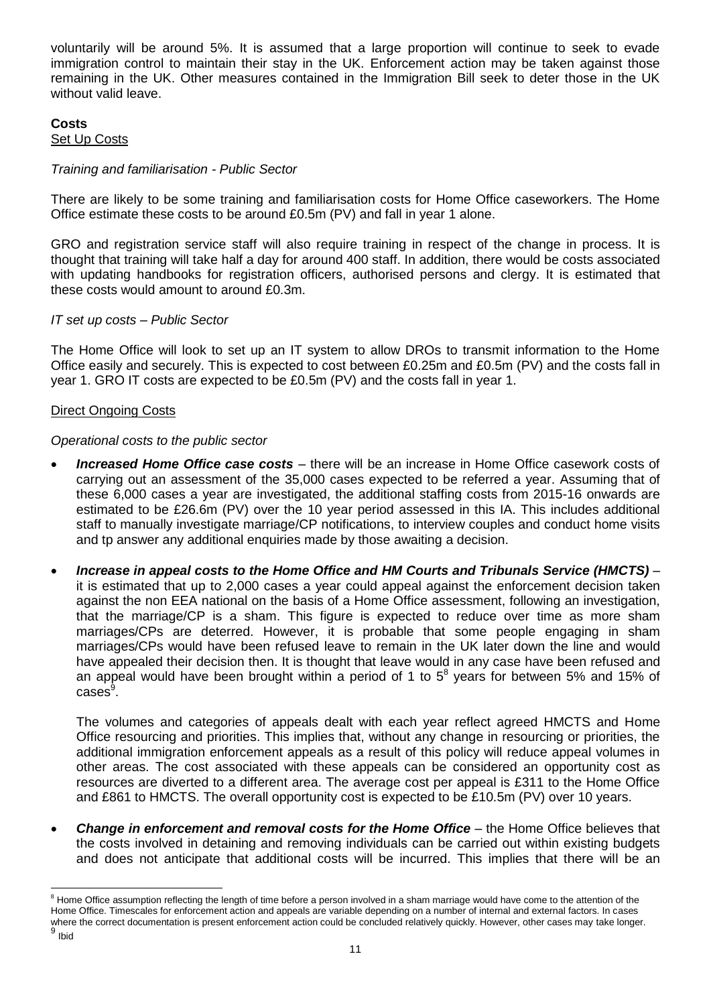voluntarily will be around 5%. It is assumed that a large proportion will continue to seek to evade immigration control to maintain their stay in the UK. Enforcement action may be taken against those remaining in the UK. Other measures contained in the Immigration Bill seek to deter those in the UK without valid leave.

#### **Costs** Set Up Costs

# *Training and familiarisation - Public Sector*

There are likely to be some training and familiarisation costs for Home Office caseworkers. The Home Office estimate these costs to be around £0.5m (PV) and fall in year 1 alone.

GRO and registration service staff will also require training in respect of the change in process. It is thought that training will take half a day for around 400 staff. In addition, there would be costs associated with updating handbooks for registration officers, authorised persons and clergy. It is estimated that these costs would amount to around £0.3m.

# *IT set up costs – Public Sector*

The Home Office will look to set up an IT system to allow DROs to transmit information to the Home Office easily and securely. This is expected to cost between £0.25m and £0.5m (PV) and the costs fall in year 1. GRO IT costs are expected to be £0.5m (PV) and the costs fall in year 1.

# Direct Ongoing Costs

# *Operational costs to the public sector*

- *Increased Home Office case costs* there will be an increase in Home Office casework costs of carrying out an assessment of the 35,000 cases expected to be referred a year. Assuming that of these 6,000 cases a year are investigated, the additional staffing costs from 2015-16 onwards are estimated to be £26.6m (PV) over the 10 year period assessed in this IA. This includes additional staff to manually investigate marriage/CP notifications, to interview couples and conduct home visits and tp answer any additional enquiries made by those awaiting a decision.
- *Increase in appeal costs to the Home Office and HM Courts and Tribunals Service (HMCTS) –* it is estimated that up to 2,000 cases a year could appeal against the enforcement decision taken against the non EEA national on the basis of a Home Office assessment, following an investigation, that the marriage/CP is a sham. This figure is expected to reduce over time as more sham marriages/CPs are deterred. However, it is probable that some people engaging in sham marriages/CPs would have been refused leave to remain in the UK later down the line and would have appealed their decision then. It is thought that leave would in any case have been refused and an appeal would have been brought within a period of 1 to  $5^8$  years for between 5% and 15% of  $\mathsf{cases}^9.$

The volumes and categories of appeals dealt with each year reflect agreed HMCTS and Home Office resourcing and priorities. This implies that, without any change in resourcing or priorities, the additional immigration enforcement appeals as a result of this policy will reduce appeal volumes in other areas. The cost associated with these appeals can be considered an opportunity cost as resources are diverted to a different area. The average cost per appeal is £311 to the Home Office and £861 to HMCTS. The overall opportunity cost is expected to be £10.5m (PV) over 10 years.

**Change in enforcement and removal costs for the Home Office - the Home Office believes that** the costs involved in detaining and removing individuals can be carried out within existing budgets and does not anticipate that additional costs will be incurred. This implies that there will be an

l <sup>8</sup> Home Office assumption reflecting the length of time before a person involved in a sham marriage would have come to the attention of the Home Office. Timescales for enforcement action and appeals are variable depending on a number of internal and external factors. In cases where the correct documentation is present enforcement action could be concluded relatively quickly. However, other cases may take longer. <sup>9</sup> Ibid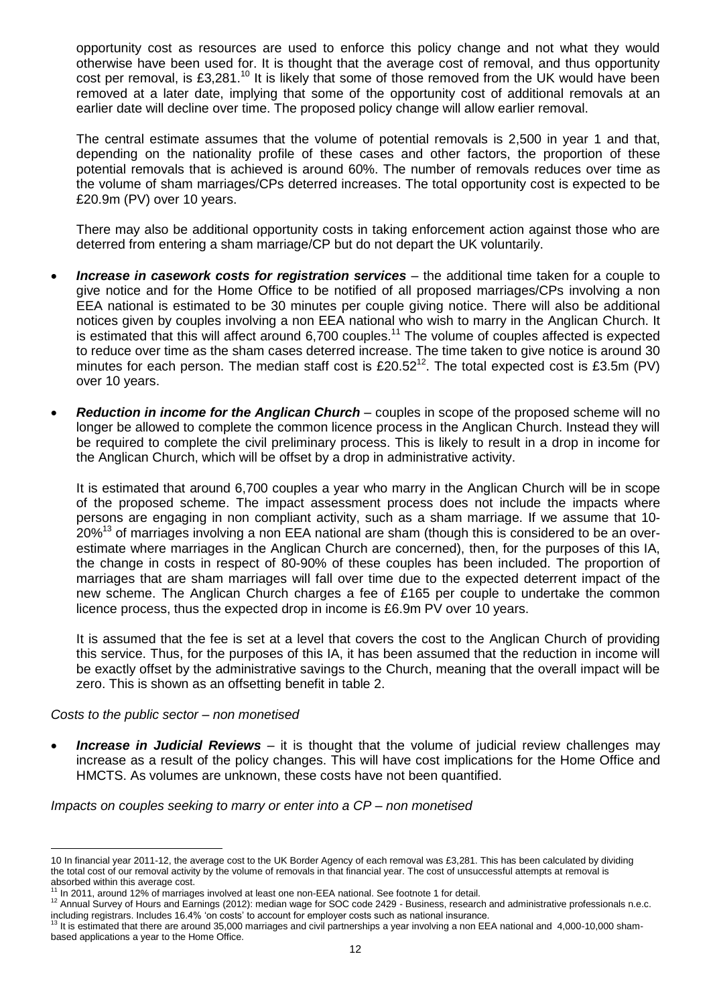opportunity cost as resources are used to enforce this policy change and not what they would otherwise have been used for. It is thought that the average cost of removal, and thus opportunity cost per removal, is £3,281.<sup>10</sup> It is likely that some of those removed from the UK would have been removed at a later date, implying that some of the opportunity cost of additional removals at an earlier date will decline over time. The proposed policy change will allow earlier removal.

The central estimate assumes that the volume of potential removals is 2,500 in year 1 and that, depending on the nationality profile of these cases and other factors, the proportion of these potential removals that is achieved is around 60%. The number of removals reduces over time as the volume of sham marriages/CPs deterred increases. The total opportunity cost is expected to be £20.9m (PV) over 10 years.

There may also be additional opportunity costs in taking enforcement action against those who are deterred from entering a sham marriage/CP but do not depart the UK voluntarily.

- Increase in casework costs for registration services the additional time taken for a couple to give notice and for the Home Office to be notified of all proposed marriages/CPs involving a non EEA national is estimated to be 30 minutes per couple giving notice. There will also be additional notices given by couples involving a non EEA national who wish to marry in the Anglican Church. It is estimated that this will affect around 6,700 couples.<sup>11</sup> The volume of couples affected is expected to reduce over time as the sham cases deterred increase. The time taken to give notice is around 30 minutes for each person. The median staff cost is £20.52<sup>12</sup>. The total expected cost is £3.5m (PV) over 10 years.
- **•** Reduction in income for the Anglican Church couples in scope of the proposed scheme will no longer be allowed to complete the common licence process in the Anglican Church. Instead they will be required to complete the civil preliminary process. This is likely to result in a drop in income for the Anglican Church, which will be offset by a drop in administrative activity.

It is estimated that around 6,700 couples a year who marry in the Anglican Church will be in scope of the proposed scheme. The impact assessment process does not include the impacts where persons are engaging in non compliant activity, such as a sham marriage. If we assume that 10-  $20\%$ <sup>13</sup> of marriages involving a non EEA national are sham (though this is considered to be an overestimate where marriages in the Anglican Church are concerned), then, for the purposes of this IA, the change in costs in respect of 80-90% of these couples has been included. The proportion of marriages that are sham marriages will fall over time due to the expected deterrent impact of the new scheme. The Anglican Church charges a fee of £165 per couple to undertake the common licence process, thus the expected drop in income is £6.9m PV over 10 years.

It is assumed that the fee is set at a level that covers the cost to the Anglican Church of providing this service. Thus, for the purposes of this IA, it has been assumed that the reduction in income will be exactly offset by the administrative savings to the Church, meaning that the overall impact will be zero. This is shown as an offsetting benefit in table 2.

#### *Costs to the public sector – non monetised*

**Increase in Judicial Reviews** – it is thought that the volume of judicial review challenges may increase as a result of the policy changes. This will have cost implications for the Home Office and HMCTS. As volumes are unknown, these costs have not been quantified.

*Impacts on couples seeking to marry or enter into a CP – non monetised*

l 10 In financial year 2011-12, the average cost to th[e UK Border Agency](http://en.wikipedia.org/wiki/UK_Border_Agency) of each removal was £3,281. This has been calculated by dividing the total cost of our removal activity by the volume of removals in that financial year. The cost of unsuccessful attempts at removal is absorbed within this average cost.

In 2011, around 12% of marriages involved at least one non-EEA national. See footnote 1 for detail.

<sup>12</sup> Annual Survey of Hours and Earnings (2012): median wage for SOC code 2429 - Business, research and administrative professionals n.e.c. including registrars. Includes 16.4% "on costs" to account for employer costs such as national insurance.

<sup>&</sup>lt;sup>13</sup> It is estimated that there are around 35,000 marriages and civil partnerships a year involving a non EEA national and 4,000-10,000 shambased applications a year to the Home Office.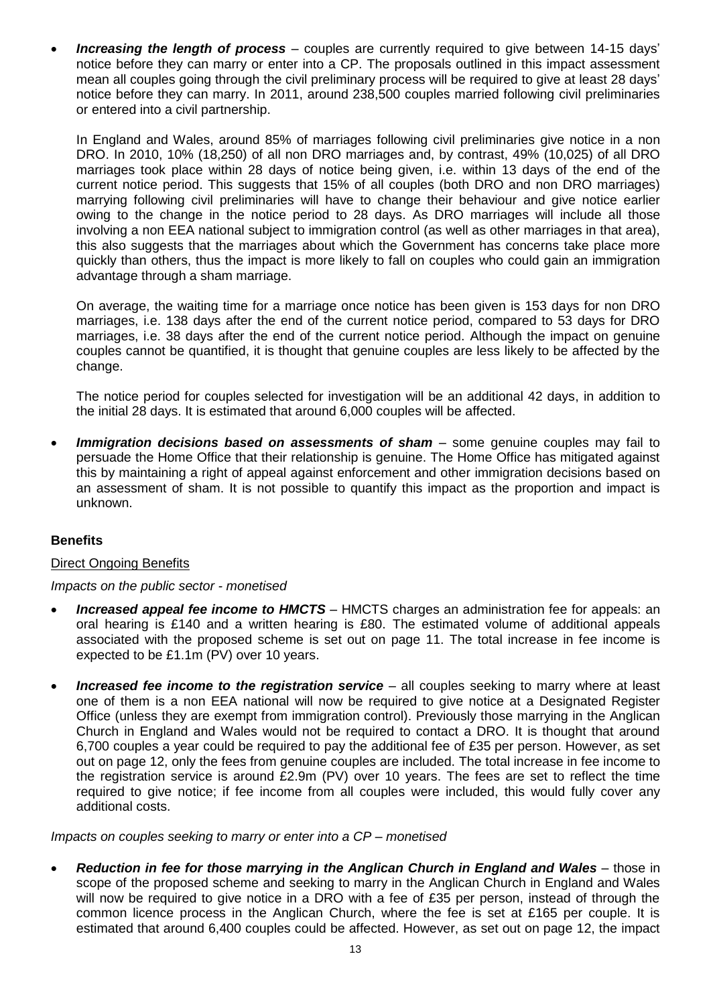**Increasing the length of process** – couples are currently required to give between 14-15 days' notice before they can marry or enter into a CP. The proposals outlined in this impact assessment mean all couples going through the civil preliminary process will be required to give at least 28 days" notice before they can marry. In 2011, around 238,500 couples married following civil preliminaries or entered into a civil partnership.

In England and Wales, around 85% of marriages following civil preliminaries give notice in a non DRO. In 2010, 10% (18,250) of all non DRO marriages and, by contrast, 49% (10,025) of all DRO marriages took place within 28 days of notice being given, i.e. within 13 days of the end of the current notice period. This suggests that 15% of all couples (both DRO and non DRO marriages) marrying following civil preliminaries will have to change their behaviour and give notice earlier owing to the change in the notice period to 28 days. As DRO marriages will include all those involving a non EEA national subject to immigration control (as well as other marriages in that area), this also suggests that the marriages about which the Government has concerns take place more quickly than others, thus the impact is more likely to fall on couples who could gain an immigration advantage through a sham marriage.

On average, the waiting time for a marriage once notice has been given is 153 days for non DRO marriages, i.e. 138 days after the end of the current notice period, compared to 53 days for DRO marriages, i.e. 38 days after the end of the current notice period. Although the impact on genuine couples cannot be quantified, it is thought that genuine couples are less likely to be affected by the change.

The notice period for couples selected for investigation will be an additional 42 days, in addition to the initial 28 days. It is estimated that around 6,000 couples will be affected.

*Immigration decisions based on assessments of sham –* some genuine couples may fail to persuade the Home Office that their relationship is genuine. The Home Office has mitigated against this by maintaining a right of appeal against enforcement and other immigration decisions based on an assessment of sham. It is not possible to quantify this impact as the proportion and impact is unknown.

# **Benefits**

# Direct Ongoing Benefits

#### *Impacts on the public sector - monetised*

- *Increased appeal fee income to HMCTS*  HMCTS charges an administration fee for appeals: an oral hearing is £140 and a written hearing is £80. The estimated volume of additional appeals associated with the proposed scheme is set out on page 11. The total increase in fee income is expected to be £1.1m (PV) over 10 years.
- *Increased fee income to the registration service*  all couples seeking to marry where at least one of them is a non EEA national will now be required to give notice at a Designated Register Office (unless they are exempt from immigration control). Previously those marrying in the Anglican Church in England and Wales would not be required to contact a DRO. It is thought that around 6,700 couples a year could be required to pay the additional fee of £35 per person. However, as set out on page 12, only the fees from genuine couples are included. The total increase in fee income to the registration service is around £2.9m (PV) over 10 years. The fees are set to reflect the time required to give notice; if fee income from all couples were included, this would fully cover any additional costs.

#### *Impacts on couples seeking to marry or enter into a CP – monetised*

• Reduction in fee for those marrying in the Anglican Church in England and Wales – those in scope of the proposed scheme and seeking to marry in the Anglican Church in England and Wales will now be required to give notice in a DRO with a fee of £35 per person, instead of through the common licence process in the Anglican Church, where the fee is set at £165 per couple. It is estimated that around 6,400 couples could be affected. However, as set out on page 12, the impact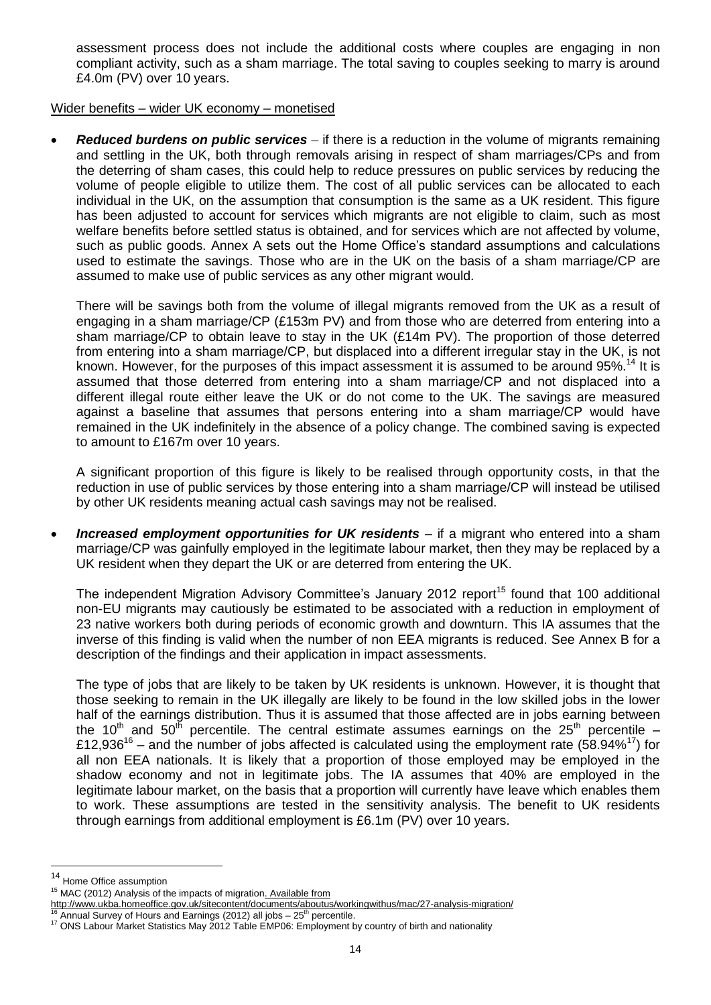assessment process does not include the additional costs where couples are engaging in non compliant activity, such as a sham marriage. The total saving to couples seeking to marry is around £4.0m (PV) over 10 years.

# Wider benefits – wider UK economy – monetised

 *Reduced burdens on public services* – if there is a reduction in the volume of migrants remaining and settling in the UK, both through removals arising in respect of sham marriages/CPs and from the deterring of sham cases, this could help to reduce pressures on public services by reducing the volume of people eligible to utilize them. The cost of all public services can be allocated to each individual in the UK, on the assumption that consumption is the same as a UK resident. This figure has been adjusted to account for services which migrants are not eligible to claim, such as most welfare benefits before settled status is obtained, and for services which are not affected by volume, such as public goods. Annex A sets out the Home Office"s standard assumptions and calculations used to estimate the savings. Those who are in the UK on the basis of a sham marriage/CP are assumed to make use of public services as any other migrant would.

There will be savings both from the volume of illegal migrants removed from the UK as a result of engaging in a sham marriage/CP (£153m PV) and from those who are deterred from entering into a sham marriage/CP to obtain leave to stay in the UK (£14m PV). The proportion of those deterred from entering into a sham marriage/CP, but displaced into a different irregular stay in the UK, is not known. However, for the purposes of this impact assessment it is assumed to be around 95%.<sup>14</sup> It is assumed that those deterred from entering into a sham marriage/CP and not displaced into a different illegal route either leave the UK or do not come to the UK. The savings are measured against a baseline that assumes that persons entering into a sham marriage/CP would have remained in the UK indefinitely in the absence of a policy change. The combined saving is expected to amount to £167m over 10 years.

A significant proportion of this figure is likely to be realised through opportunity costs, in that the reduction in use of public services by those entering into a sham marriage/CP will instead be utilised by other UK residents meaning actual cash savings may not be realised.

*Increased employment opportunities for UK residents –* if a migrant who entered into a sham marriage/CP was gainfully employed in the legitimate labour market, then they may be replaced by a UK resident when they depart the UK or are deterred from entering the UK.

The independent Migration Advisory Committee's January 2012 report<sup>15</sup> found that 100 additional non-EU migrants may cautiously be estimated to be associated with a reduction in employment of 23 native workers both during periods of economic growth and downturn. This IA assumes that the inverse of this finding is valid when the number of non EEA migrants is reduced. See Annex B for a description of the findings and their application in impact assessments.

The type of jobs that are likely to be taken by UK residents is unknown. However, it is thought that those seeking to remain in the UK illegally are likely to be found in the low skilled jobs in the lower half of the earnings distribution. Thus it is assumed that those affected are in jobs earning between the 10<sup>th</sup> and 50<sup>th</sup> percentile. The central estimate assumes earnings on the 25<sup>th</sup> percentile – £12,936<sup>16</sup> – and the number of jobs affected is calculated using the employment rate (58.94%<sup>17</sup>) for all non EEA nationals. It is likely that a proportion of those employed may be employed in the shadow economy and not in legitimate jobs. The IA assumes that 40% are employed in the legitimate labour market, on the basis that a proportion will currently have leave which enables them to work. These assumptions are tested in the sensitivity analysis. The benefit to UK residents through earnings from additional employment is £6.1m (PV) over 10 years.

l

<sup>&</sup>lt;sup>14</sup> Home Office assumption

<sup>&</sup>lt;sup>15</sup> MAC (2012) Analysis of the impacts of migration. Available from

<http://www.ukba.homeoffice.gov.uk/sitecontent/documents/aboutus/workingwithus/mac/27-analysis-migration/>  $\frac{16}{16}$  Annual Survey of Hours and Earnings (2012) all jobs  $-25<sup>th</sup>$  percentile.

<sup>&</sup>lt;sup>17</sup> ONS Labour Market Statistics May 2012 Table EMP06: Employment by country of birth and nationality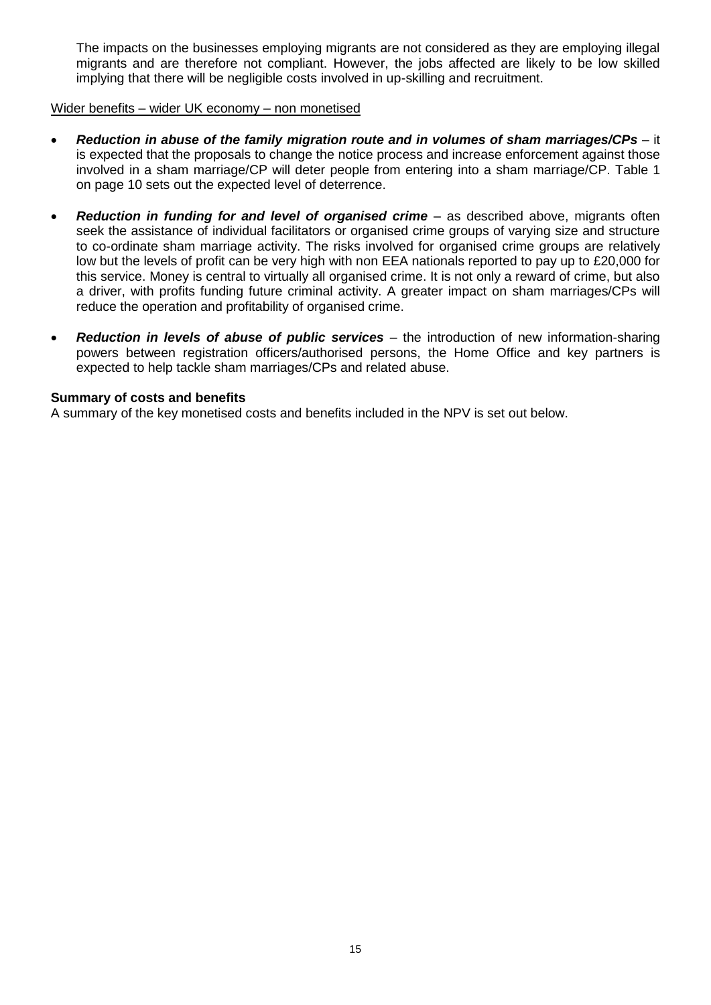The impacts on the businesses employing migrants are not considered as they are employing illegal migrants and are therefore not compliant. However, the jobs affected are likely to be low skilled implying that there will be negligible costs involved in up-skilling and recruitment.

### Wider benefits – wider UK economy – non monetised

- *Reduction in abuse of the family migration route and in volumes of sham marriages/CPs –* it is expected that the proposals to change the notice process and increase enforcement against those involved in a sham marriage/CP will deter people from entering into a sham marriage/CP. Table 1 on page 10 sets out the expected level of deterrence.
- *Reduction in funding for and level of organised crime –* as described above, migrants often seek the assistance of individual facilitators or organised crime groups of varying size and structure to co-ordinate sham marriage activity. The risks involved for organised crime groups are relatively low but the levels of profit can be very high with non EEA nationals reported to pay up to £20,000 for this service. Money is central to virtually all organised crime. It is not only a reward of crime, but also a driver, with profits funding future criminal activity. A greater impact on sham marriages/CPs will reduce the operation and profitability of organised crime.
- *Reduction in levels of abuse of public services –* the introduction of new information-sharing powers between registration officers/authorised persons, the Home Office and key partners is expected to help tackle sham marriages/CPs and related abuse.

#### **Summary of costs and benefits**

A summary of the key monetised costs and benefits included in the NPV is set out below.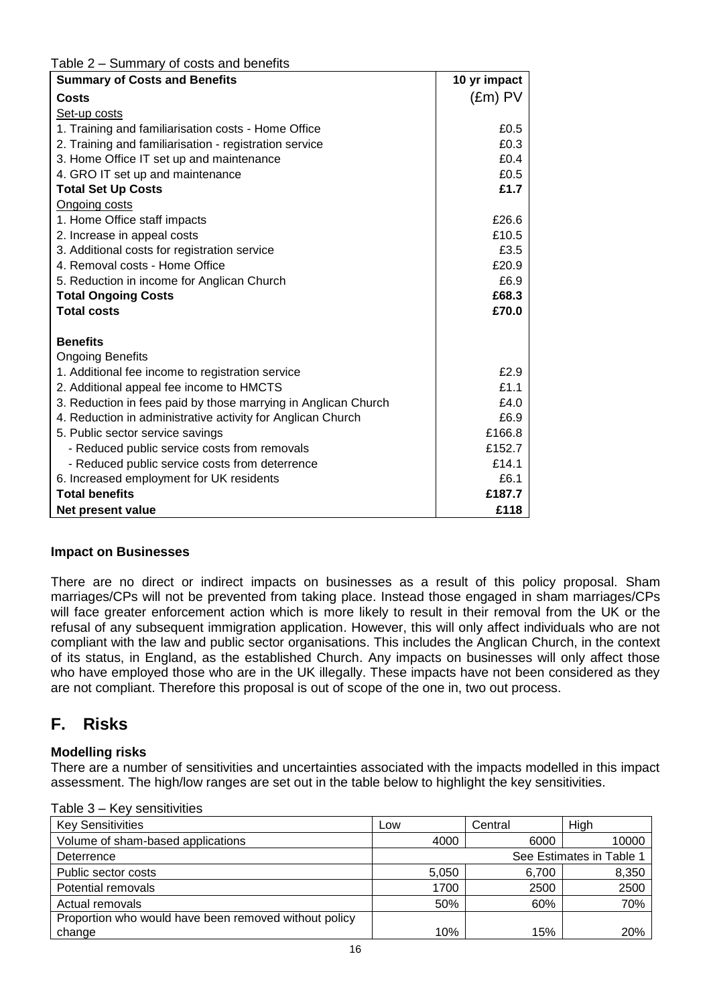# Table 2 – Summary of costs and benefits

| <b>Summary of Costs and Benefits</b>                           | 10 yr impact     |
|----------------------------------------------------------------|------------------|
| Costs                                                          | $(\text{Em})$ PV |
| Set-up costs                                                   |                  |
| 1. Training and familiarisation costs - Home Office            | £0.5             |
| 2. Training and familiarisation - registration service         | £0.3             |
| 3. Home Office IT set up and maintenance                       | £0.4             |
| 4. GRO IT set up and maintenance                               | £0.5             |
| <b>Total Set Up Costs</b>                                      | £1.7             |
| Ongoing costs                                                  |                  |
| 1. Home Office staff impacts                                   | £26.6            |
| 2. Increase in appeal costs                                    | £10.5            |
| 3. Additional costs for registration service                   | £3.5             |
| 4. Removal costs - Home Office                                 | £20.9            |
| 5. Reduction in income for Anglican Church                     | £6.9             |
| <b>Total Ongoing Costs</b>                                     | £68.3            |
| <b>Total costs</b>                                             | £70.0            |
|                                                                |                  |
| <b>Benefits</b>                                                |                  |
| <b>Ongoing Benefits</b>                                        |                  |
| 1. Additional fee income to registration service               | £2.9             |
| 2. Additional appeal fee income to HMCTS                       | £1.1             |
| 3. Reduction in fees paid by those marrying in Anglican Church | £4.0             |
| 4. Reduction in administrative activity for Anglican Church    | £6.9             |
| 5. Public sector service savings                               | £166.8           |
| - Reduced public service costs from removals                   | £152.7           |
| - Reduced public service costs from deterrence                 | £14.1            |
| 6. Increased employment for UK residents                       | £6.1             |
| <b>Total benefits</b>                                          | £187.7           |
| Net present value                                              | £118             |

# **Impact on Businesses**

There are no direct or indirect impacts on businesses as a result of this policy proposal. Sham marriages/CPs will not be prevented from taking place. Instead those engaged in sham marriages/CPs will face greater enforcement action which is more likely to result in their removal from the UK or the refusal of any subsequent immigration application. However, this will only affect individuals who are not compliant with the law and public sector organisations. This includes the Anglican Church, in the context of its status, in England, as the established Church. Any impacts on businesses will only affect those who have employed those who are in the UK illegally. These impacts have not been considered as they are not compliant. Therefore this proposal is out of scope of the one in, two out process.

# **F. Risks**

# **Modelling risks**

There are a number of sensitivities and uncertainties associated with the impacts modelled in this impact assessment. The high/low ranges are set out in the table below to highlight the key sensitivities.

| Table $3 - 1$ |  |  | Key sensitivities |
|---------------|--|--|-------------------|
|---------------|--|--|-------------------|

| <b>Key Sensitivities</b>                              | Low   | Central | High                     |
|-------------------------------------------------------|-------|---------|--------------------------|
| Volume of sham-based applications                     | 4000  | 6000    | 10000                    |
| Deterrence                                            |       |         | See Estimates in Table 1 |
| Public sector costs                                   | 5,050 | 6,700   | 8,350                    |
| Potential removals                                    | 1700  | 2500    | 2500                     |
| Actual removals                                       | 50%   | 60%     | 70%                      |
| Proportion who would have been removed without policy |       |         |                          |
| change                                                | 10%   | 15%     | 20%                      |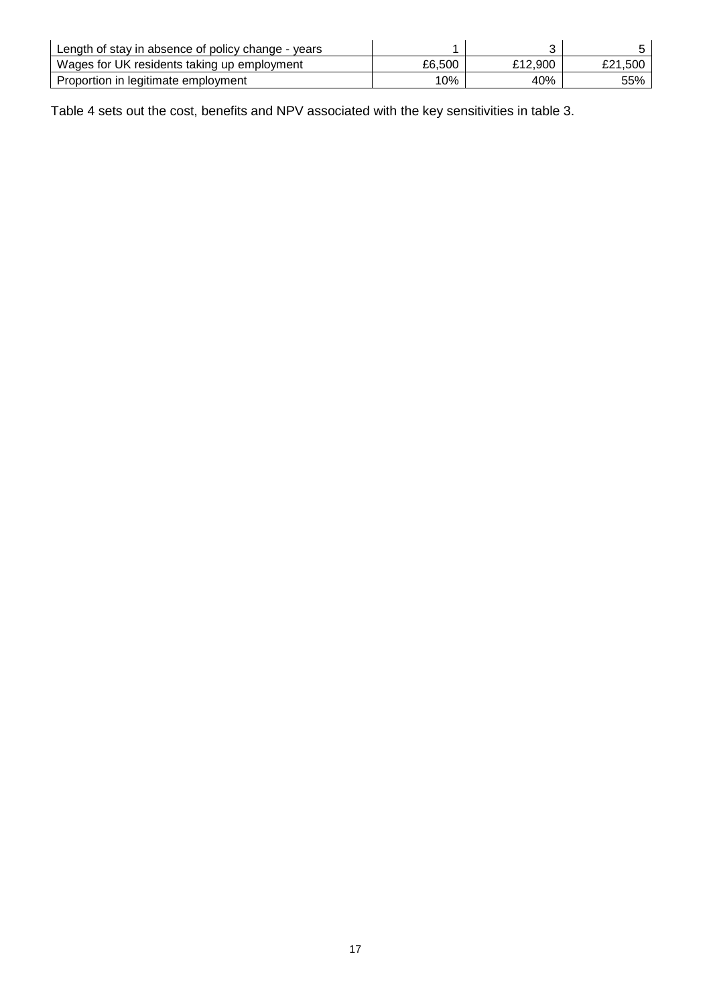| Length of stay in absence of policy change - years |        |         |         |
|----------------------------------------------------|--------|---------|---------|
| Wages for UK residents taking up employment        | £6.500 | £12.900 | £21.500 |
| Proportion in legitimate employment                | 10%    | 40%     | 55%     |

Table 4 sets out the cost, benefits and NPV associated with the key sensitivities in table 3.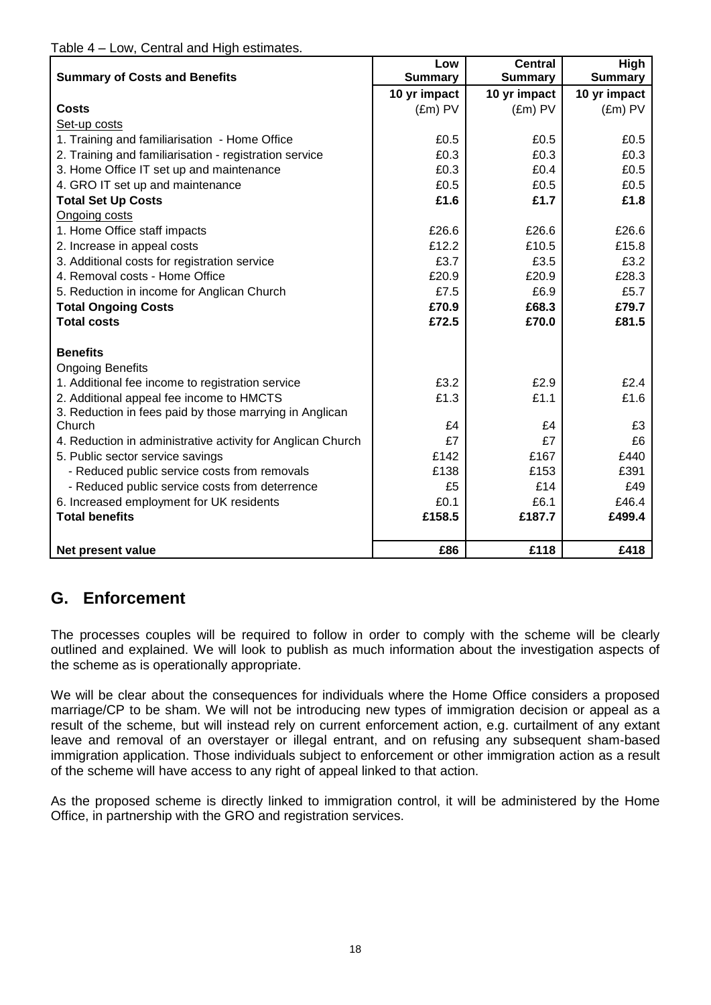|                                                             | Low              | <b>Central</b>   | High             |
|-------------------------------------------------------------|------------------|------------------|------------------|
| <b>Summary of Costs and Benefits</b>                        | <b>Summary</b>   | <b>Summary</b>   | <b>Summary</b>   |
|                                                             | 10 yr impact     | 10 yr impact     | 10 yr impact     |
| <b>Costs</b>                                                | $(\text{Em})$ PV | $(\text{Em})$ PV | $(\text{Em})$ PV |
| Set-up costs                                                |                  |                  |                  |
| 1. Training and familiarisation - Home Office               | £0.5             | £0.5             | £0.5             |
| 2. Training and familiarisation - registration service      | £0.3             | £0.3             | £0.3             |
| 3. Home Office IT set up and maintenance                    | £0.3             | £0.4             | £0.5             |
| 4. GRO IT set up and maintenance                            | £0.5             | £0.5             | £0.5             |
| <b>Total Set Up Costs</b>                                   | £1.6             | £1.7             | £1.8             |
| Ongoing costs                                               |                  |                  |                  |
| 1. Home Office staff impacts                                | £26.6            | £26.6            | £26.6            |
| 2. Increase in appeal costs                                 | £12.2            | £10.5            | £15.8            |
| 3. Additional costs for registration service                | £3.7             | £3.5             | £3.2             |
| 4. Removal costs - Home Office                              | £20.9            | £20.9            | £28.3            |
| 5. Reduction in income for Anglican Church                  | £7.5             | £6.9             | £5.7             |
| <b>Total Ongoing Costs</b>                                  | £70.9            | £68.3            | £79.7            |
| <b>Total costs</b>                                          | £72.5            | £70.0            | £81.5            |
|                                                             |                  |                  |                  |
| <b>Benefits</b>                                             |                  |                  |                  |
| <b>Ongoing Benefits</b>                                     |                  |                  |                  |
| 1. Additional fee income to registration service            | £3.2             | £2.9             | £2.4             |
| 2. Additional appeal fee income to HMCTS                    | £1.3             | £1.1             | £1.6             |
| 3. Reduction in fees paid by those marrying in Anglican     |                  |                  |                  |
| Church                                                      | £4               | £4               | £3               |
| 4. Reduction in administrative activity for Anglican Church | £7               | £7               | £6               |
| 5. Public sector service savings                            | £142             | £167             | £440             |
| - Reduced public service costs from removals                | £138             | £153             | £391             |
| - Reduced public service costs from deterrence              | £5               | £14              | £49              |
| 6. Increased employment for UK residents                    | £0.1             | £6.1             | £46.4            |
| <b>Total benefits</b>                                       | £158.5           | £187.7           | £499.4           |
|                                                             |                  |                  |                  |
| Net present value                                           | £86              | £118             | £418             |

# **G. Enforcement**

The processes couples will be required to follow in order to comply with the scheme will be clearly outlined and explained. We will look to publish as much information about the investigation aspects of the scheme as is operationally appropriate.

We will be clear about the consequences for individuals where the Home Office considers a proposed marriage/CP to be sham. We will not be introducing new types of immigration decision or appeal as a result of the scheme, but will instead rely on current enforcement action, e.g. curtailment of any extant leave and removal of an overstayer or illegal entrant, and on refusing any subsequent sham-based immigration application. Those individuals subject to enforcement or other immigration action as a result of the scheme will have access to any right of appeal linked to that action.

As the proposed scheme is directly linked to immigration control, it will be administered by the Home Office, in partnership with the GRO and registration services.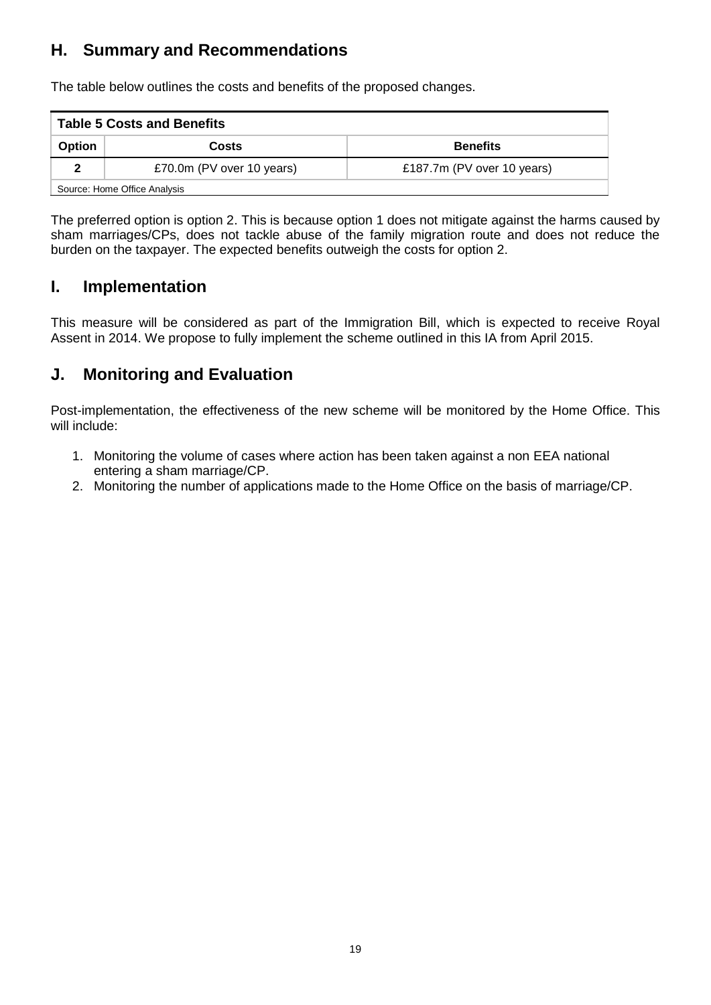# **H. Summary and Recommendations**

The table below outlines the costs and benefits of the proposed changes.

| <b>Table 5 Costs and Benefits</b>         |                           |                            |  |  |  |  |  |  |  |
|-------------------------------------------|---------------------------|----------------------------|--|--|--|--|--|--|--|
| <b>Benefits</b><br><b>Option</b><br>Costs |                           |                            |  |  |  |  |  |  |  |
|                                           | £70.0m (PV over 10 years) | £187.7m (PV over 10 years) |  |  |  |  |  |  |  |
| Source: Home Office Analysis              |                           |                            |  |  |  |  |  |  |  |

The preferred option is option 2. This is because option 1 does not mitigate against the harms caused by sham marriages/CPs, does not tackle abuse of the family migration route and does not reduce the burden on the taxpayer. The expected benefits outweigh the costs for option 2.

# **I. Implementation**

This measure will be considered as part of the Immigration Bill, which is expected to receive Royal Assent in 2014. We propose to fully implement the scheme outlined in this IA from April 2015.

# **J. Monitoring and Evaluation**

Post-implementation, the effectiveness of the new scheme will be monitored by the Home Office. This will include:

- 1. Monitoring the volume of cases where action has been taken against a non EEA national entering a sham marriage/CP.
- 2. Monitoring the number of applications made to the Home Office on the basis of marriage/CP.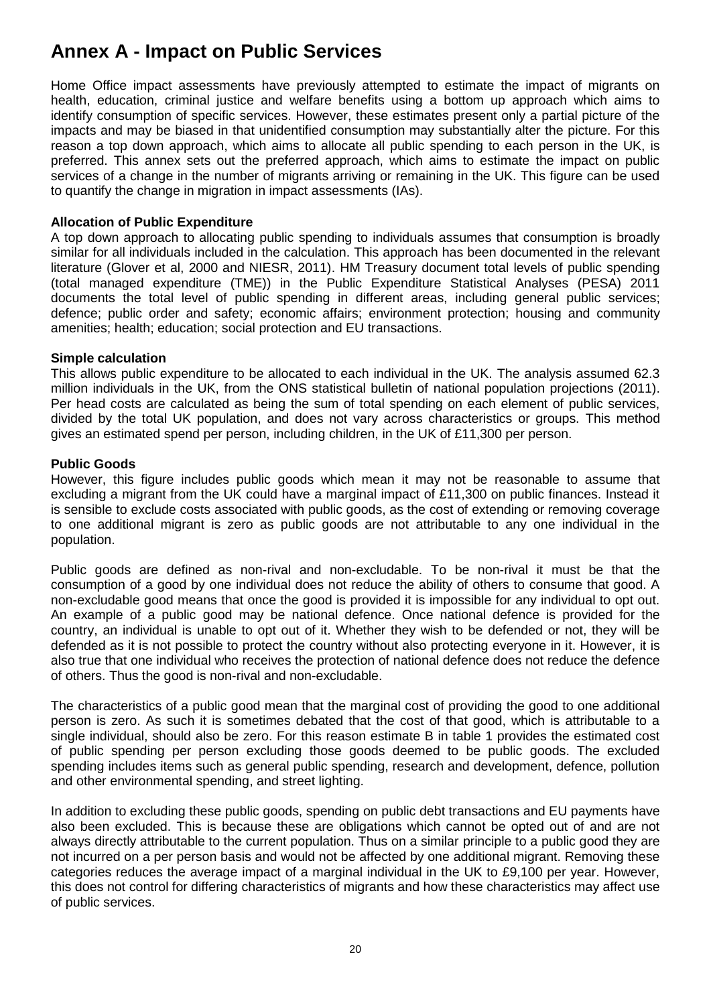# **Annex A - Impact on Public Services**

Home Office impact assessments have previously attempted to estimate the impact of migrants on health, education, criminal justice and welfare benefits using a bottom up approach which aims to identify consumption of specific services. However, these estimates present only a partial picture of the impacts and may be biased in that unidentified consumption may substantially alter the picture. For this reason a top down approach, which aims to allocate all public spending to each person in the UK, is preferred. This annex sets out the preferred approach, which aims to estimate the impact on public services of a change in the number of migrants arriving or remaining in the UK. This figure can be used to quantify the change in migration in impact assessments (IAs).

# **Allocation of Public Expenditure**

A top down approach to allocating public spending to individuals assumes that consumption is broadly similar for all individuals included in the calculation. This approach has been documented in the relevant literature (Glover et al, 2000 and NIESR, 2011). HM Treasury document total levels of public spending (total managed expenditure (TME)) in the Public Expenditure Statistical Analyses (PESA) 2011 documents the total level of public spending in different areas, including general public services; defence; public order and safety; economic affairs; environment protection; housing and community amenities; health; education; social protection and EU transactions.

# **Simple calculation**

This allows public expenditure to be allocated to each individual in the UK. The analysis assumed 62.3 million individuals in the UK, from the ONS statistical bulletin of national population projections (2011). Per head costs are calculated as being the sum of total spending on each element of public services, divided by the total UK population, and does not vary across characteristics or groups. This method gives an estimated spend per person, including children, in the UK of £11,300 per person.

### **Public Goods**

However, this figure includes public goods which mean it may not be reasonable to assume that excluding a migrant from the UK could have a marginal impact of £11,300 on public finances. Instead it is sensible to exclude costs associated with public goods, as the cost of extending or removing coverage to one additional migrant is zero as public goods are not attributable to any one individual in the population.

Public goods are defined as non-rival and non-excludable. To be non-rival it must be that the consumption of a good by one individual does not reduce the ability of others to consume that good. A non-excludable good means that once the good is provided it is impossible for any individual to opt out. An example of a public good may be national defence. Once national defence is provided for the country, an individual is unable to opt out of it. Whether they wish to be defended or not, they will be defended as it is not possible to protect the country without also protecting everyone in it. However, it is also true that one individual who receives the protection of national defence does not reduce the defence of others. Thus the good is non-rival and non-excludable.

The characteristics of a public good mean that the marginal cost of providing the good to one additional person is zero. As such it is sometimes debated that the cost of that good, which is attributable to a single individual, should also be zero. For this reason estimate B in table 1 provides the estimated cost of public spending per person excluding those goods deemed to be public goods. The excluded spending includes items such as general public spending, research and development, defence, pollution and other environmental spending, and street lighting.

In addition to excluding these public goods, spending on public debt transactions and EU payments have also been excluded. This is because these are obligations which cannot be opted out of and are not always directly attributable to the current population. Thus on a similar principle to a public good they are not incurred on a per person basis and would not be affected by one additional migrant. Removing these categories reduces the average impact of a marginal individual in the UK to £9,100 per year. However, this does not control for differing characteristics of migrants and how these characteristics may affect use of public services.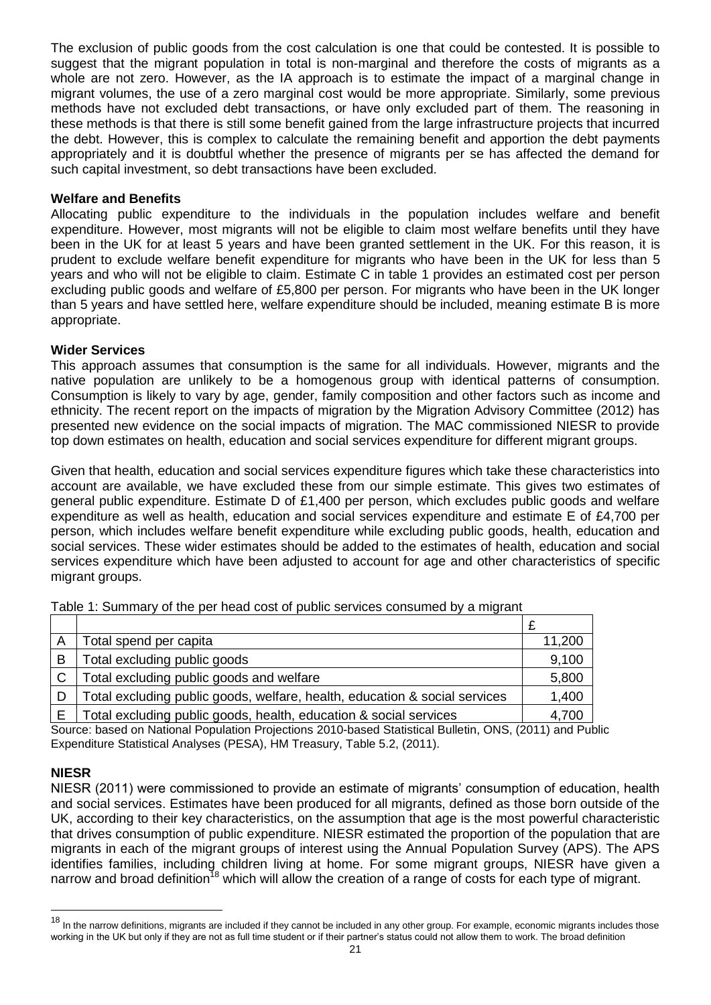The exclusion of public goods from the cost calculation is one that could be contested. It is possible to suggest that the migrant population in total is non-marginal and therefore the costs of migrants as a whole are not zero. However, as the IA approach is to estimate the impact of a marginal change in migrant volumes, the use of a zero marginal cost would be more appropriate. Similarly, some previous methods have not excluded debt transactions, or have only excluded part of them. The reasoning in these methods is that there is still some benefit gained from the large infrastructure projects that incurred the debt. However, this is complex to calculate the remaining benefit and apportion the debt payments appropriately and it is doubtful whether the presence of migrants per se has affected the demand for such capital investment, so debt transactions have been excluded.

# **Welfare and Benefits**

Allocating public expenditure to the individuals in the population includes welfare and benefit expenditure. However, most migrants will not be eligible to claim most welfare benefits until they have been in the UK for at least 5 years and have been granted settlement in the UK. For this reason, it is prudent to exclude welfare benefit expenditure for migrants who have been in the UK for less than 5 years and who will not be eligible to claim. Estimate C in table 1 provides an estimated cost per person excluding public goods and welfare of £5,800 per person. For migrants who have been in the UK longer than 5 years and have settled here, welfare expenditure should be included, meaning estimate B is more appropriate.

# **Wider Services**

This approach assumes that consumption is the same for all individuals. However, migrants and the native population are unlikely to be a homogenous group with identical patterns of consumption. Consumption is likely to vary by age, gender, family composition and other factors such as income and ethnicity. The recent report on the impacts of migration by the Migration Advisory Committee (2012) has presented new evidence on the social impacts of migration. The MAC commissioned NIESR to provide top down estimates on health, education and social services expenditure for different migrant groups.

Given that health, education and social services expenditure figures which take these characteristics into account are available, we have excluded these from our simple estimate. This gives two estimates of general public expenditure. Estimate D of £1,400 per person, which excludes public goods and welfare expenditure as well as health, education and social services expenditure and estimate E of £4,700 per person, which includes welfare benefit expenditure while excluding public goods, health, education and social services. These wider estimates should be added to the estimates of health, education and social services expenditure which have been adjusted to account for age and other characteristics of specific migrant groups.

| A             | Total spend per capita                                                     | 11,200 |
|---------------|----------------------------------------------------------------------------|--------|
| B             | Total excluding public goods                                               | 9,100  |
| $\mathcal{C}$ | Total excluding public goods and welfare                                   | 5,800  |
| D             | Total excluding public goods, welfare, health, education & social services | 1,400  |
|               | Total excluding public goods, health, education & social services          | 4,700  |

Table 1: Summary of the per head cost of public services consumed by a migrant

Source: based on National Population Projections 2010-based Statistical Bulletin, ONS, (2011) and Public Expenditure Statistical Analyses (PESA), HM Treasury, Table 5.2, (2011).

# **NIESR**

l

NIESR (2011) were commissioned to provide an estimate of migrants" consumption of education, health and social services. Estimates have been produced for all migrants, defined as those born outside of the UK, according to their key characteristics, on the assumption that age is the most powerful characteristic that drives consumption of public expenditure. NIESR estimated the proportion of the population that are migrants in each of the migrant groups of interest using the Annual Population Survey (APS). The APS identifies families, including children living at home. For some migrant groups, NIESR have given a narrow and broad definition<sup>18</sup> which will allow the creation of a range of costs for each type of migrant.

<sup>&</sup>lt;sup>18</sup> In the narrow definitions, migrants are included if they cannot be included in any other group. For example, economic migrants includes those working in the UK but only if they are not as full time student or if their partner"s status could not allow them to work. The broad definition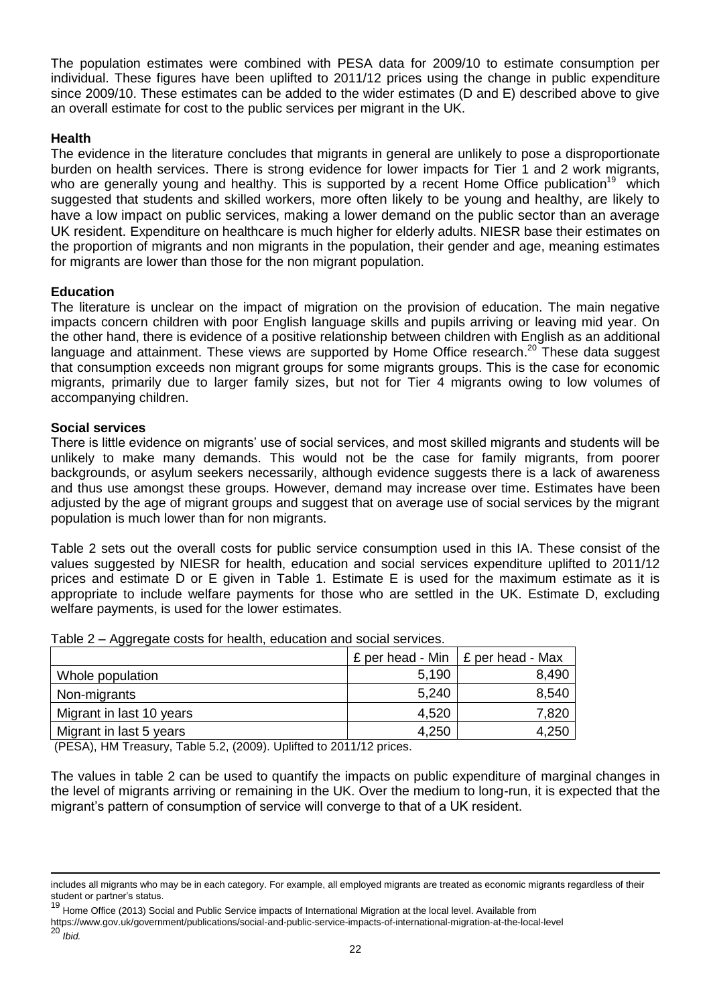The population estimates were combined with PESA data for 2009/10 to estimate consumption per individual. These figures have been uplifted to 2011/12 prices using the change in public expenditure since 2009/10. These estimates can be added to the wider estimates (D and E) described above to give an overall estimate for cost to the public services per migrant in the UK.

### **Health**

The evidence in the literature concludes that migrants in general are unlikely to pose a disproportionate burden on health services. There is strong evidence for lower impacts for Tier 1 and 2 work migrants, who are generally young and healthy. This is supported by a recent Home Office publication<sup>19</sup> which suggested that students and skilled workers, more often likely to be young and healthy, are likely to have a low impact on public services, making a lower demand on the public sector than an average UK resident. Expenditure on healthcare is much higher for elderly adults. NIESR base their estimates on the proportion of migrants and non migrants in the population, their gender and age, meaning estimates for migrants are lower than those for the non migrant population.

### **Education**

The literature is unclear on the impact of migration on the provision of education. The main negative impacts concern children with poor English language skills and pupils arriving or leaving mid year. On the other hand, there is evidence of a positive relationship between children with English as an additional language and attainment. These views are supported by Home Office research.<sup>20</sup> These data suggest that consumption exceeds non migrant groups for some migrants groups. This is the case for economic migrants, primarily due to larger family sizes, but not for Tier 4 migrants owing to low volumes of accompanying children.

### **Social services**

There is little evidence on migrants' use of social services, and most skilled migrants and students will be unlikely to make many demands. This would not be the case for family migrants, from poorer backgrounds, or asylum seekers necessarily, although evidence suggests there is a lack of awareness and thus use amongst these groups. However, demand may increase over time. Estimates have been adjusted by the age of migrant groups and suggest that on average use of social services by the migrant population is much lower than for non migrants.

Table 2 sets out the overall costs for public service consumption used in this IA. These consist of the values suggested by NIESR for health, education and social services expenditure uplifted to 2011/12 prices and estimate D or E given in Table 1. Estimate E is used for the maximum estimate as it is appropriate to include welfare payments for those who are settled in the UK. Estimate D, excluding welfare payments, is used for the lower estimates.

|                          |       | £ per head - Min $\vert$ £ per head - Max |
|--------------------------|-------|-------------------------------------------|
| Whole population         | 5,190 | 8,490                                     |
| Non-migrants             | 5,240 | 8,540                                     |
| Migrant in last 10 years | 4,520 | 7,820                                     |
| Migrant in last 5 years  | 4,250 | 4,250                                     |

Table 2 – Aggregate costs for health, education and social services.

(PESA), HM Treasury, Table 5.2, (2009). Uplifted to 2011/12 prices.

The values in table 2 can be used to quantify the impacts on public expenditure of marginal changes in the level of migrants arriving or remaining in the UK. Over the medium to long-run, it is expected that the migrant"s pattern of consumption of service will converge to that of a UK resident.

<sup>20</sup> *Ibid.*

l

includes all migrants who may be in each category. For example, all employed migrants are treated as economic migrants regardless of their student or partner's status.

<sup>19</sup> Home Office (2013) Social and Public Service impacts of International Migration at the local level. Available from

https://www.gov.uk/government/publications/social-and-public-service-impacts-of-international-migration-at-the-local-level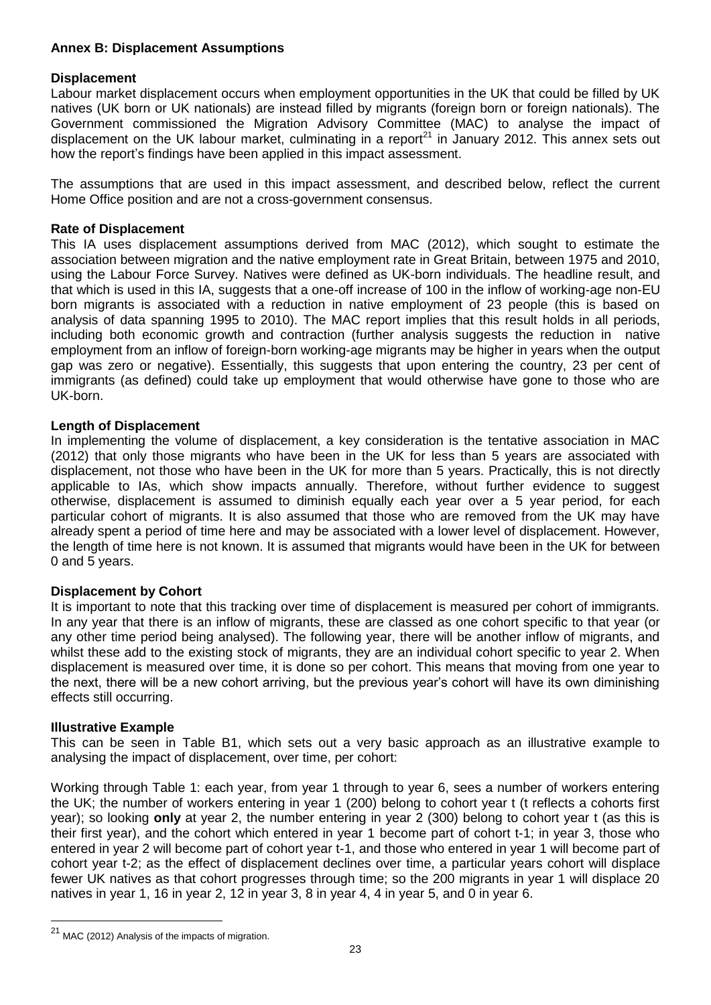# **Annex B: Displacement Assumptions**

### **Displacement**

Labour market displacement occurs when employment opportunities in the UK that could be filled by UK natives (UK born or UK nationals) are instead filled by migrants (foreign born or foreign nationals). The Government commissioned the Migration Advisory Committee (MAC) to analyse the impact of displacement on the UK labour market, culminating in a report<sup>21</sup> in January 2012. This annex sets out how the report"s findings have been applied in this impact assessment.

The assumptions that are used in this impact assessment, and described below, reflect the current Home Office position and are not a cross-government consensus.

# **Rate of Displacement**

This IA uses displacement assumptions derived from MAC (2012), which sought to estimate the association between migration and the native employment rate in Great Britain, between 1975 and 2010, using the Labour Force Survey. Natives were defined as UK-born individuals. The headline result, and that which is used in this IA, suggests that a one-off increase of 100 in the inflow of working-age non-EU born migrants is associated with a reduction in native employment of 23 people (this is based on analysis of data spanning 1995 to 2010). The MAC report implies that this result holds in all periods, including both economic growth and contraction (further analysis suggests the reduction in native employment from an inflow of foreign-born working-age migrants may be higher in years when the output gap was zero or negative). Essentially, this suggests that upon entering the country, 23 per cent of immigrants (as defined) could take up employment that would otherwise have gone to those who are UK-born.

### **Length of Displacement**

In implementing the volume of displacement, a key consideration is the tentative association in MAC (2012) that only those migrants who have been in the UK for less than 5 years are associated with displacement, not those who have been in the UK for more than 5 years. Practically, this is not directly applicable to IAs, which show impacts annually. Therefore, without further evidence to suggest otherwise, displacement is assumed to diminish equally each year over a 5 year period, for each particular cohort of migrants. It is also assumed that those who are removed from the UK may have already spent a period of time here and may be associated with a lower level of displacement. However, the length of time here is not known. It is assumed that migrants would have been in the UK for between 0 and 5 years.

#### **Displacement by Cohort**

It is important to note that this tracking over time of displacement is measured per cohort of immigrants. In any year that there is an inflow of migrants, these are classed as one cohort specific to that year (or any other time period being analysed). The following year, there will be another inflow of migrants, and whilst these add to the existing stock of migrants, they are an individual cohort specific to year 2. When displacement is measured over time, it is done so per cohort. This means that moving from one year to the next, there will be a new cohort arriving, but the previous year"s cohort will have its own diminishing effects still occurring.

#### **Illustrative Example**

l

This can be seen in Table B1, which sets out a very basic approach as an illustrative example to analysing the impact of displacement, over time, per cohort:

Working through Table 1: each year, from year 1 through to year 6, sees a number of workers entering the UK; the number of workers entering in year 1 (200) belong to cohort year t (t reflects a cohorts first year); so looking **only** at year 2, the number entering in year 2 (300) belong to cohort year t (as this is their first year), and the cohort which entered in year 1 become part of cohort t-1; in year 3, those who entered in year 2 will become part of cohort year t-1, and those who entered in year 1 will become part of cohort year t-2; as the effect of displacement declines over time, a particular years cohort will displace fewer UK natives as that cohort progresses through time; so the 200 migrants in year 1 will displace 20 natives in year 1, 16 in year 2, 12 in year 3, 8 in year 4, 4 in year 5, and 0 in year 6.

 $21$  MAC (2012) Analysis of the impacts of migration.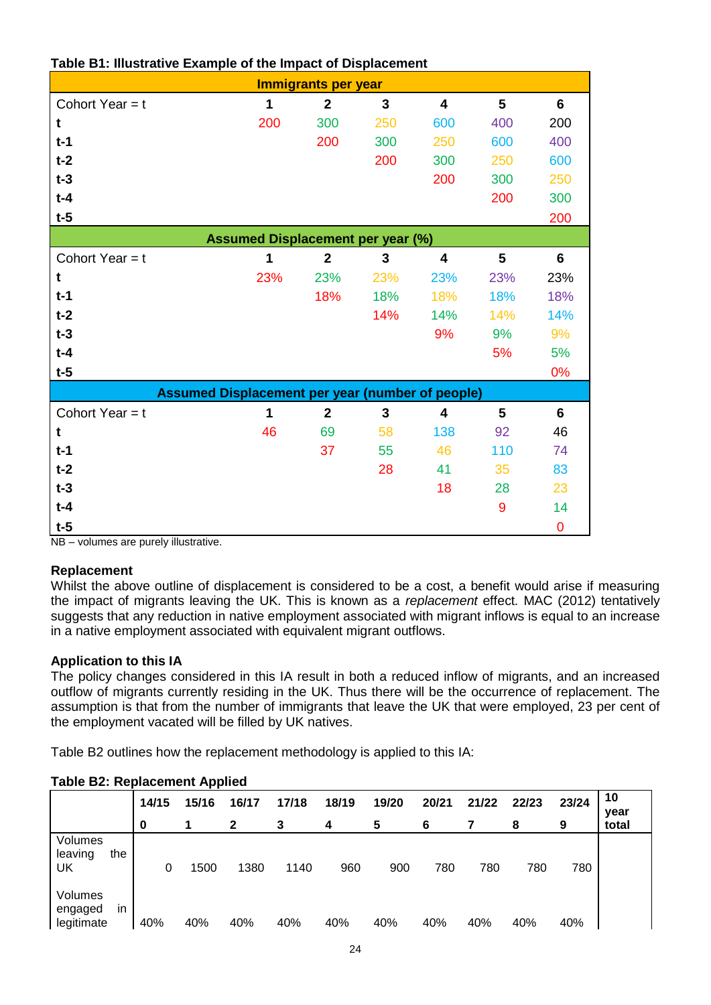| <b>Immigrants per year</b>                              |     |                                          |                |                         |     |                |  |  |  |  |
|---------------------------------------------------------|-----|------------------------------------------|----------------|-------------------------|-----|----------------|--|--|--|--|
| Cohort Year = $t$                                       | 1   | $\mathbf{2}$                             | 3              | $\overline{\mathbf{4}}$ | 5   | $6\phantom{1}$ |  |  |  |  |
| t                                                       | 200 | 300                                      | 250            | 600                     | 400 | 200            |  |  |  |  |
| $t-1$                                                   |     | 200                                      | 300            | 250                     | 600 | 400            |  |  |  |  |
| $t-2$                                                   |     |                                          | 200            | 300                     | 250 | 600            |  |  |  |  |
| $t-3$                                                   |     |                                          |                | 200                     | 300 | 250            |  |  |  |  |
| $t-4$                                                   |     |                                          |                |                         | 200 | 300            |  |  |  |  |
| $t-5$                                                   |     |                                          |                |                         |     | 200            |  |  |  |  |
|                                                         |     | <b>Assumed Displacement per year (%)</b> |                |                         |     |                |  |  |  |  |
| Cohort Year = $t$                                       | 1   | $\mathbf{2}$                             | 3              | $\overline{\mathbf{4}}$ | 5   | $6\phantom{1}$ |  |  |  |  |
| t                                                       | 23% | 23%                                      | 23%            | 23%                     | 23% | 23%            |  |  |  |  |
| $t-1$                                                   |     | 18%                                      | 18%            | 18%                     | 18% | 18%            |  |  |  |  |
| $t-2$                                                   |     |                                          | 14%            | 14%                     | 14% | 14%            |  |  |  |  |
| $t-3$                                                   |     |                                          |                | 9%                      | 9%  | 9%             |  |  |  |  |
| $t-4$                                                   |     |                                          |                |                         | 5%  | 5%             |  |  |  |  |
| $t-5$                                                   |     |                                          |                |                         |     | 0%             |  |  |  |  |
| <b>Assumed Displacement per year (number of people)</b> |     |                                          |                |                         |     |                |  |  |  |  |
| Cohort Year $=$ t                                       | 1   | $\overline{2}$                           | $\overline{3}$ | $\overline{\mathbf{4}}$ | 5   | 6              |  |  |  |  |
| t                                                       | 46  | 69                                       | 58             | 138                     | 92  | 46             |  |  |  |  |
| $t-1$                                                   |     | 37                                       | 55             | 46                      | 110 | 74             |  |  |  |  |
| $t-2$                                                   |     |                                          | 28             | 41                      | 35  | 83             |  |  |  |  |
| $t-3$                                                   |     |                                          |                | 18                      | 28  | 23             |  |  |  |  |
| $t-4$                                                   |     |                                          |                |                         | 9   | 14             |  |  |  |  |
| $t-5$                                                   |     |                                          |                |                         |     | $\overline{0}$ |  |  |  |  |

# **Table B1: Illustrative Example of the Impact of Displacement**

NB – volumes are purely illustrative.

# **Replacement**

Whilst the above outline of displacement is considered to be a cost, a benefit would arise if measuring the impact of migrants leaving the UK. This is known as a *replacement* effect*.* MAC (2012) tentatively suggests that any reduction in native employment associated with migrant inflows is equal to an increase in a native employment associated with equivalent migrant outflows.

# **Application to this IA**

The policy changes considered in this IA result in both a reduced inflow of migrants, and an increased outflow of migrants currently residing in the UK. Thus there will be the occurrence of replacement. The assumption is that from the number of immigrants that leave the UK that were employed, 23 per cent of the employment vacated will be filled by UK natives.

Table B2 outlines how the replacement methodology is applied to this IA:

|                                        |       | 72 P  |       |       |       |       |       |       |       |       |            |
|----------------------------------------|-------|-------|-------|-------|-------|-------|-------|-------|-------|-------|------------|
|                                        | 14/15 | 15/16 | 16/17 | 17/18 | 18/19 | 19/20 | 20/21 | 21/22 | 22/23 | 23/24 | 10<br>year |
|                                        | 0     |       | 2     | 3     | 4     | 5     | 6     |       | 8     | 9     | total      |
| Volumes<br>leaving<br>the<br>UK        | 0     | 1500  | 1380  | 1140  | 960   | 900   | 780   | 780   | 780   | 780   |            |
| Volumes<br>in<br>engaged<br>legitimate | 40%   | 40%   | 40%   | 40%   | 40%   | 40%   | 40%   | 40%   | 40%   | 40%   |            |

# **Table B2: Replacement Applied**